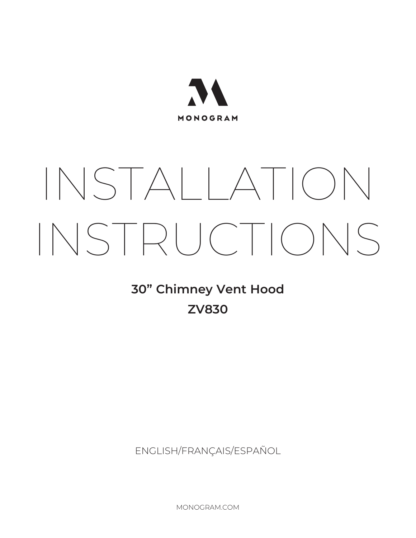

# INSTALLATION INSTRUCTIONS

## **30" Chimney Vent Hood ZV830**

ENGLISH/FRANÇAIS/ESPAÑOL

MONOGRAM.COM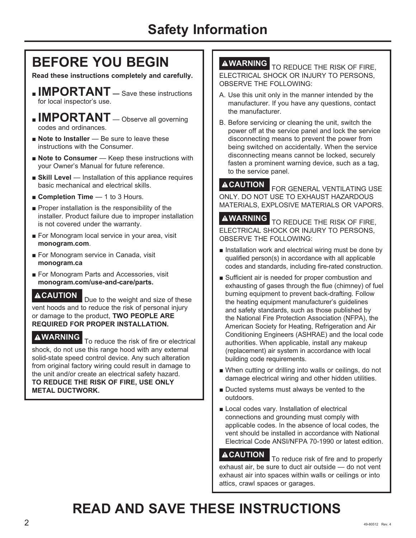# **BEFORE YOU BEGIN**

**Read these instructions completely and carefully.**

- **IMPORTANT** Save these instructions for local inspector's use.
- **IMPORTANT** Observe all governing codes and ordinances.
- **Note to Installer** Be sure to leave these instructions with the Consumer.
- **Note to Consumer** Keep these instructions with your Owner's Manual for future reference.
- **Skill Level** Installation of this appliance requires basic mechanical and electrical skills.
- **Exampletion Time** 1 to 3 Hours.
- $\blacksquare$  Proper installation is the responsibility of the installer. Product failure due to improper installation is not covered under the warranty.
- For Monogram local service in your area, visit **monogram.com**.
- For Monogram service in Canada, visit **monogram.ca**
- For Monogram Parts and Accessories, visit **monogram.com/use-and-care/parts.**

**ACAUTION** Due to the weight and size of these vent hoods and to reduce the risk of personal injury or damage to the product, TWO PEOPLE ARE **REQUIRED FOR PROPER INSTALLATION.**

**WARNING** To reduce the risk of fire or electrical shock, do not use this range hood with any external solid-state speed control device. Any such alteration from original factory wiring could result in damage to the unit and/or create an electrical safety hazard. **TO REDUCE THE RISK OF FIRE, USE ONLY METAL DUCTWORK.**

**AWARNING** TO REDUCE THE RISK OF FIRE, ELECTRICAL SHOCK OR INJURY TO PERSONS. OBSERVE THE FOLLOWING:

- A. Use this unit only in the manner intended by the manufacturer. If you have any questions, contact the manufacturer.
- B. Before servicing or cleaning the unit, switch the power off at the service panel and lock the service disconnecting means to prevent the power from being switched on accidentally. When the service disconnecting means cannot be locked, securely fasten a prominent warning device, such as a tag, to the service panel.

**ACAUTION FOR GENERAL VENTILATING USE** ONLY. DO NOT USE TO EXHAUST HAZARDOUS MATERIALS, EXPLOSIVE MATERIALS OR VAPORS.

**AWARNING** TO REDUCE THE RISK OF FIRE, ELECTRICAL SHOCK OR INJURY TO PERSONS. OBSERVE THE FOLLOWING:

- $\blacksquare$  Installation work and electrical wiring must be done by qualified person(s) in accordance with all applicable codes and standards, including fire-rated construction.
- Sufficient air is needed for proper combustion and exhausting of gases through the flue (chimney) of fuel burning equipment to prevent back-drafting. Follow the heating equipment manufacturer's guidelines and safety standards, such as those published by the National Fire Protection Association (NFPA), the American Society for Heating, Refrigeration and Air Conditioning Engineers (ASHRAE) and the local code authorities. When applicable, install any makeup (replacement) air system in accordance with local building code requirements.
- When cutting or drilling into walls or ceilings, do not damage electrical wiring and other hidden utilities.
- $\blacksquare$  Ducted systems must always be vented to the outdoors.
- Local codes vary. Installation of electrical connections and grounding must comply with applicable codes. In the absence of local codes, the vent should be installed in accordance with National Electrical Code ANSI/NFPA 70-1990 or latest edition.

**ACAUTION** To reduce risk of fire and to properly exhaust air, be sure to duct air outside  $-$  do not vent exhaust air into spaces within walls or ceilings or into attics, crawl spaces or garages.

# **READ AND SAVE THESE INSTRUCTIONS**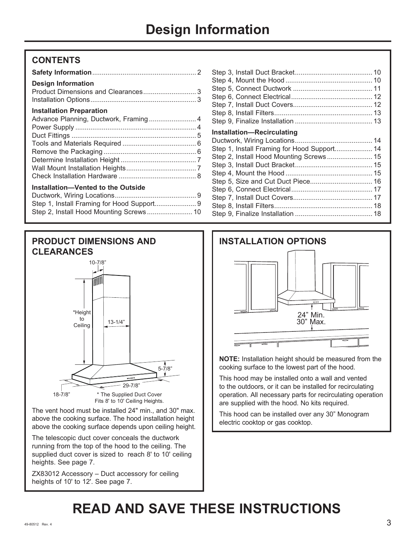#### **CONTENTS**

| <b>Design Information</b>                  |  |
|--------------------------------------------|--|
| <b>Installation Preparation</b>            |  |
|                                            |  |
|                                            |  |
|                                            |  |
|                                            |  |
|                                            |  |
|                                            |  |
|                                            |  |
|                                            |  |
| Installation-Vented to the Outside         |  |
|                                            |  |
| Step 1, Install Framing for Hood Support 9 |  |

6WHS,QVWDOO+RRG0RXQWLQJ6FUHZV ........................



The vent hood must be installed 24" min., and 30" max. above the cooking surface. The hood installation height above the cooking surface depends upon ceiling height.

The telescopic duct cover conceals the ductwork running from the top of the hood to the ceiling. The supplied duct cover is sized to reach 8' to 10' ceiling heights. See page 7.

ZX83012 Accessory - Duct accessory for ceiling heights of 10' to 12'. See page 7.

| <b>Installation-Recirculating</b>       |  |
|-----------------------------------------|--|
|                                         |  |
|                                         |  |
| Step 2, Install Hood Mounting Screws 15 |  |
|                                         |  |
|                                         |  |
|                                         |  |
|                                         |  |
|                                         |  |

6WHS,QVWDOO'XFW&RYHUV.......................................... 6WHS,QVWDOO)LOWHUV.................................................... 18 6WHS)LQDOL]H,QVWDOODWLRQ ......................................... 18



**NOTE:** Installation height should be measured from the cooking surface to the lowest part of the hood.

This hood may be installed onto a wall and vented to the outdoors, or it can be installed for recirculating operation. All necessary parts for recirculating operation are supplied with the hood. No kits required.

This hood can be installed over any 30" Monogram electric cooktop or gas cooktop.

# **READ AND SAVE THESE INSTRUCTIONS**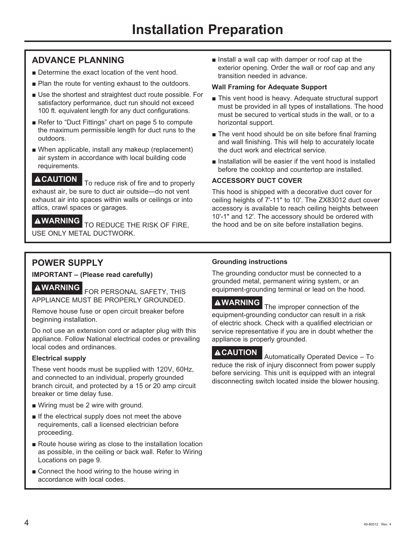#### **ADVANCE PLANNING**

- Determine the exact location of the vent hood.
- Plan the route for venting exhaust to the outdoors.
- Use the shortest and straightest duct route possible. For satisfactory performance, duct run should not exceed 100 ft. equivalent length for any duct configurations.
- Refer to "Duct Fittings" chart on page 5 to compute the maximum permissible length for duct runs to the outdoors.
- When applicable, install any makeup (replacement) air system in accordance with local building code requirements.

**ACAUTION** To reduce risk of fire and to properly exhaust air, be sure to duct air outside-do not vent exhaust air into spaces within walls or ceilings or into attics, crawl spaces or garages.

**AWARNING** TO REDUCE THE RISK OF FIRE. USE ONLY METAL DUCTWORK.

Install a wall cap with damper or roof cap at the exterior opening. Order the wall or roof cap and any transition needed in advance.

#### **Wall Framing for Adequate Support**

- $\blacksquare$  This vent hood is heavy. Adequate structural support must be provided in all types of installations. The hood must be secured to vertical studs in the wall, or to a horizontal support.
- The vent hood should be on site before final framing and wall finishing. This will help to accurately locate the duct work and electrical service.
- Installation will be easier if the vent hood is installed before the cooktop and countertop are installed.

#### **ACCESSORY DUCT COVER**

This hood is shipped with a decorative duct cover for ceiling heights of 7'-11" to 10'. The ZX83012 duct cover accessory is available to reach ceiling heights between 10'-1" and 12'. The accessory should be ordered with the hood and be on site before installation begins.

#### **POWER SUPPLY**

**IMPORTANT – (Please read carefully)**

**AWARNING** FOR PERSONAL SAFETY, THIS APPLIANCE MUST BE PROPERLY GROUNDED.

Remove house fuse or open circuit breaker before beginning installation.

Do not use an extension cord or adapter plug with this appliance. Follow National electrical codes or prevailing local codes and ordinances.

#### **Electrical supply**

These vent hoods must be supplied with 120V, 60Hz, and connected to an individual, properly grounded branch circuit, and protected by a 15 or 20 amp circuit breaker or time delay fuse.

- $\blacksquare$  Wiring must be 2 wire with ground.
- $\blacksquare$  If the electrical supply does not meet the above requirements, call a licensed electrician before proceeding.
- Route house wiring as close to the installation location as possible, in the ceiling or back wall. Refer to Wiring Locations on page 9.
- $\blacksquare$  Connect the hood wiring to the house wiring in accordance with local codes.

#### **Grounding instructions**

The grounding conductor must be connected to a grounded metal, permanent wiring system, or an equipment-grounding terminal or lead on the hood.

**AWARNING** The improper connection of the equipment-grounding conductor can result in a risk of electric shock. Check with a qualified electrician or service representative if you are in doubt whether the appliance is properly grounded.

**ACAUTION** Automatically Operated Device – To reduce the risk of injury disconnect from power supply before servicing. This unit is equipped with an integral disconnecting switch located inside the blower housing.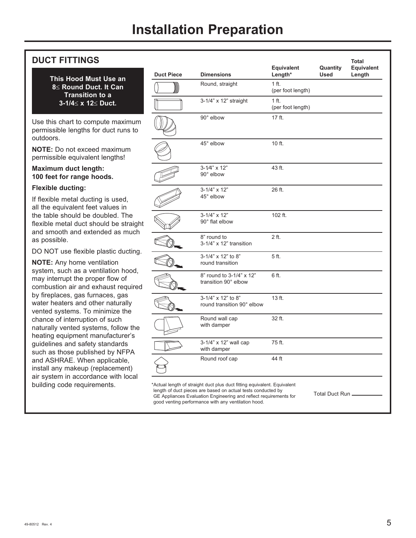#### **DUCT FITTINGS**

**This Hood Must Use an 8**d **Round Duct. It Can Transition to a 3-1/4≤ x 12≤ Duct.** 

Use this chart to compute maximum permissible lengths for duct runs to outdoors.

**NOTE:** Do not exceed maximum permissible equivalent lengths!

#### **Maximum duct length: 100 feet for range hoods.**

#### **Flexible ducting:**

If flexible metal ducting is used, all the equivalent feet values in the table should be doubled. The flexible metal duct should be straight and smooth and extended as much as possible.

DO NOT use flexible plastic ducting.

**NOTE:** Any home ventilation system, such as a ventilation hood, may interrupt the proper flow of combustion air and exhaust required by fireplaces, gas furnaces, gas water heaters and other naturally vented systems. To minimize the chance of interruption of such naturally vented systems, follow the heating equipment manufacturer's guidelines and safety standards such as those published by NFPA and ASHRAE. When applicable, install any makeup (replacement) air system in accordance with local building code requirements.

| <b>Duct Piece</b> | <b>Dimensions</b>                                | Equivalent<br>Length*        | Quantity<br><b>Used</b> | Total<br>Equivalent<br>Length |
|-------------------|--------------------------------------------------|------------------------------|-------------------------|-------------------------------|
|                   | Round, straight                                  | 1 ft.<br>(per foot length)   |                         |                               |
|                   | 3-1/4" x 12" straight                            | $1$ ft.<br>(per foot length) |                         |                               |
|                   | 90° elbow                                        | 17 ft.                       |                         |                               |
|                   | 45° elbow                                        | 10 ft.                       |                         |                               |
|                   | $3 - 1/4" \times 12"$<br>90° elbow               | 43 ft.                       |                         |                               |
|                   | $3 - 1/4" \times 12"$<br>45° elbow               | 26 ft.                       |                         |                               |
|                   | $3-1/4" \times 12"$<br>90° flat elbow            | 102 ft.                      |                         |                               |
|                   | 8" round to<br>3-1/4" x 12" transition           | 2 ft.                        |                         |                               |
|                   | 3-1/4" x 12" to 8"<br>round transition           | 5 ft.                        |                         |                               |
|                   | 8" round to 3-1/4" x 12"<br>transition 90° elbow | 6 ft.                        |                         |                               |
|                   | 3-1/4" x 12" to 8"<br>round transition 90° elbow | 13 ft.                       |                         |                               |
|                   | Round wall cap<br>with damper                    | 32 ft.                       |                         |                               |
|                   | 3-1/4" x 12" wall cap<br>with damper             | 75 ft.                       |                         |                               |
|                   | Round roof cap                                   | 44 ft                        |                         |                               |

GE Appliances Evaluation Engineering and reflect requirements for good venting performance with any ventilation hood.

Total Duct Run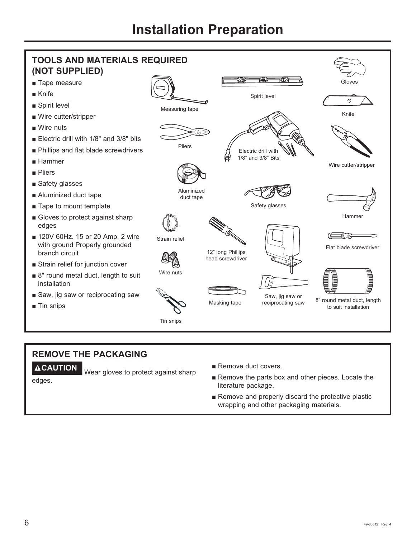

#### **REMOVE THE PACKAGING**

**ACAUTION** Wear gloves to protect against sharp

- Remove duct covers.
- Remove the parts box and other pieces. Locate the literature package.
- Remove and properly discard the protective plastic wrapping and other packaging materials.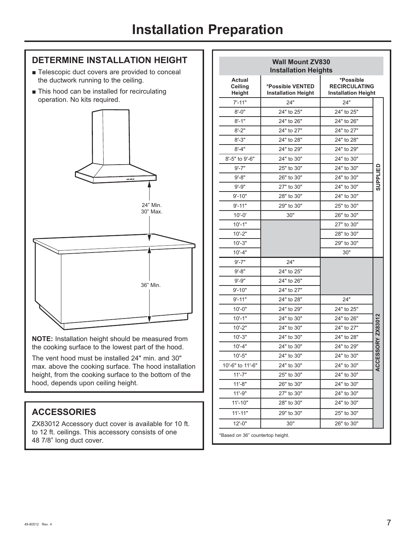#### **DETERMINE INSTALLATION HEIGHT**

- Telescopic duct covers are provided to conceal the ductwork running to the ceiling.
- This hood can be installed for recirculating operation. No kits required.



**NOTE:** Installation height should be measured from the cooking surface to the lowest part of the hood.

The vent hood must be installed 24" min. and 30" max. above the cooking surface. The hood installation height, from the cooking surface to the bottom of the hood, depends upon ceiling height.

#### **ACCESSORIES**

ZX83012 Accessory duct cover is available for 10 ft. to 12 ft. ceilings. This accessory consists of one 48 7/8" long duct cover.

|                                           | <b>Wall Mount ZV830</b><br><b>Installation Heights</b> |                                                                 |                        |
|-------------------------------------------|--------------------------------------------------------|-----------------------------------------------------------------|------------------------|
| <b>Actual</b><br>Ceiling<br><b>Height</b> | *Possible VENTED<br><b>Installation Height</b>         | *Possible<br><b>RECIRCULATING</b><br><b>Installation Height</b> |                        |
| $7' - 11"$                                | 24"                                                    | 24"                                                             |                        |
| $8 - 0"$                                  | 24" to 25"                                             | 24" to 25"                                                      |                        |
| $8' - 1"$                                 | 24" to 26"                                             | 24" to 26"                                                      |                        |
| $8' - 2"$                                 | 24" to 27"                                             | 24" to 27"                                                      |                        |
| $8 - 3"$                                  | 24" to 28"                                             | 24" to 28"                                                      |                        |
| $8' - 4"$                                 | 24" to 29"                                             | 24" to 29"                                                      |                        |
| 8'-5" to 9'-6"                            | 24" to 30"                                             | 24" to 30"                                                      |                        |
| $9' - 7"$                                 | 25" to 30"                                             | 24" to 30"                                                      |                        |
| $9' - 8"$                                 | 26" to 30"                                             | 24" to 30"                                                      | SUPPLIED               |
| $9' - 9"$                                 | 27" to 30"                                             | 24" to 30"                                                      |                        |
| $9' - 10"$                                | 28" to 30"                                             | 24" to 30"                                                      |                        |
| $9' - 11"$                                | 29" to 30"                                             | 25" to 30"                                                      |                        |
| $10' - 0'$                                | 30"                                                    | 26" to 30"                                                      |                        |
| $10 - 1"$                                 |                                                        | 27" to 30"                                                      |                        |
| $10 - 2"$                                 |                                                        | 28" to 30"                                                      |                        |
| $10' - 3"$                                |                                                        | 29" to 30"                                                      |                        |
| $10' - 4"$                                |                                                        | 30"                                                             |                        |
| $9' - 7"$                                 | 24"                                                    |                                                                 |                        |
| $9' - 8"$                                 | 24" to 25"                                             |                                                                 |                        |
| $9' - 9''$                                | 24" to 26"                                             |                                                                 |                        |
| $9' - 10"$                                | 24" to 27"                                             |                                                                 |                        |
| $9' - 11"$                                | 24" to 28"                                             | 24"                                                             |                        |
| $10 - 0$ "                                | 24" to 29"                                             | 24" to 25"                                                      |                        |
| $10 - 1"$                                 | 24" to 30"                                             | 24" to 26"                                                      |                        |
| $10' - 2"$                                | 24" to 30"                                             | 24" to 27"                                                      | <b>CESSORY ZX83012</b> |
| $10 - 3"$                                 | 24" to 30"                                             | 24" to 28"                                                      |                        |
| $10' - 4"$                                | 24" to 30"                                             | 24" to 29"                                                      |                        |
| $10' - 5"$                                | 24" to 30"                                             | 24" to 30"                                                      |                        |
| 10'-6" to 11'-6'                          | 24" to 30"                                             | 24" to 30"                                                      | QC                     |
| $11'-7"$                                  | 25" to 30"                                             | 24" to 30"                                                      |                        |
| $11'-8"$                                  | 26" to 30"                                             | 24" to 30"                                                      |                        |
| $11'-9''$                                 | 27" to 30"                                             | 24" to 30"                                                      |                        |
| $11 - 10"$                                | 28" to 30"                                             | 24" to 30"                                                      |                        |
| $11'-11"$                                 | 29" to 30"                                             | 25" to 30"                                                      |                        |
| $12 - 0"$                                 | 30"                                                    | 26" to 30"                                                      |                        |

\*Based on 36" countertop height.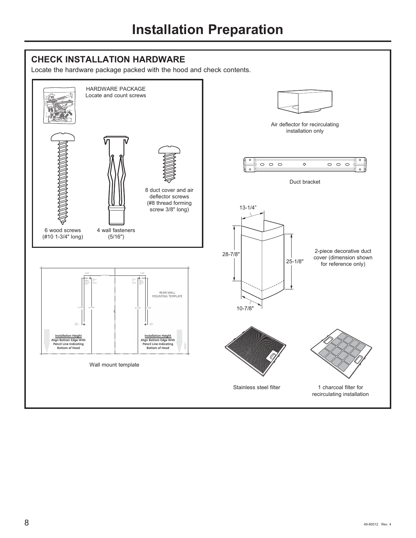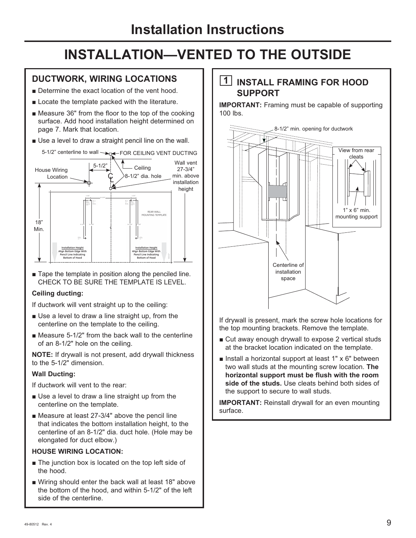#### **DUCTWORK, WIRING LOCATIONS**

- Determine the exact location of the vent hood.
- $\blacksquare$  Locate the template packed with the literature.
- $\blacksquare$  Measure 36" from the floor to the top of the cooking surface. Add hood installation height determined on page 7. Mark that location.
- $\blacksquare$  Use a level to draw a straight pencil line on the wall.



 $\blacksquare$  Tape the template in position along the penciled line. CHECK TO BE SURE THE TEMPLATE IS LEVEL.

#### **Ceiling ducting:**

If ductwork will vent straight up to the ceiling:

- Use a level to draw a line straight up, from the centerline on the template to the ceiling.
- $\blacksquare$  Measure 5-1/2" from the back wall to the centerline of an 8-1/2" hole on the ceiling.

**NOTE:** If drywall is not present, add drywall thickness to the 5-1/2" dimension.

#### **Wall Ducting:**

If ductwork will vent to the rear:

- Use a level to draw a line straight up from the centerline on the template.
- $\blacksquare$  Measure at least 27-3/4" above the pencil line that indicates the bottom installation height, to the centerline of an 8-1/2" dia. duct hole. (Hole may be elongated for duct elbow.)

#### **HOUSE WIRING LOCATION:**

- $\blacksquare$  The junction box is located on the top left side of the hood.
- Wiring should enter the back wall at least 18" above the bottom of the hood, and within 5-1/2" of the left side of the centerline.

#### **1 INSTALL FRAMING FOR HOOD SUPPORT**

**IMPORTANT:** Framing must be capable of supporting  $100$  lbs.



If drywall is present, mark the screw hole locations for the top mounting brackets. Remove the template.

- Cut away enough drywall to expose 2 vertical studs at the bracket location indicated on the template.
- $\blacksquare$  Install a horizontal support at least 1" x 6" between two wall studs at the mounting screw location. **The horizontal support must be flush with the room side of the studs.** Use cleats behind both sides of the support to secure to wall studs.

**IMPORTANT:** Reinstall drywall for an even mounting surface.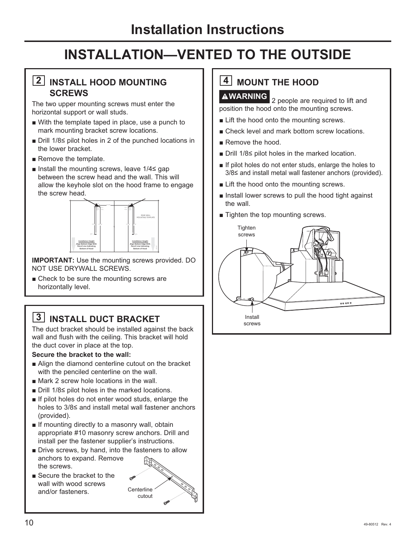#### **2 INSTALL HOOD MOUNTING SCREWS**

The two upper mounting screws must enter the horizontal support or wall studs.

- $\blacksquare$  With the template taped in place, use a punch to mark mounting bracket screw locations.
- $\blacksquare$  Drill 1/8 \circlargilopt holes in 2 of the punched locations in the lower bracket.
- $\blacksquare$  Remove the template.
- Install the mounting screws, leave  $1/4 \le$  gap between the screw head and the wall. This will allow the keyhole slot on the hood frame to engage the screw head.



**IMPORTANT:** Use the mounting screws provided. DO NOT USE DRYWALL SCREWS.

 $\blacksquare$  Check to be sure the mounting screws are horizontally level.

## **3 INSTALL DUCT BRACKET**

The duct bracket should be installed against the back wall and flush with the ceiling. This bracket will hold the duct cover in place at the top.

#### **Secure the bracket to the wall:**

- Align the diamond centerline cutout on the bracket with the penciled centerline on the wall.
- $\blacksquare$  Mark 2 screw hole locations in the wall.
- $\blacksquare$  Drill 1/8 $\leq$  pilot holes in the marked locations.
- $\blacksquare$  If pilot holes do not enter wood studs, enlarge the holes to  $3/8 \leq$  and install metal wall fastener anchors (provided).
- $\blacksquare$  If mounting directly to a masonry wall, obtain appropriate #10 masonry screw anchors. Drill and install per the fastener supplier's instructions.
- Drive screws, by hand, into the fasteners to allow anchors to expand. Remove the screws.
- $\blacksquare$  Secure the bracket to the wall with wood screws and/or fasteners.



# **4** MOUNT THE HOOD

**WARNING** 2 people are required to lift and position the hood onto the mounting screws.

- $\blacksquare$  Lift the hood onto the mounting screws.
- Check level and mark bottom screw locations.
- Remove the hood.
- $\blacksquare$  Drill 1/8 \citation boles in the marked location.
- $\blacksquare$  If pilot holes do not enter studs, enlarge the holes to  $3/8$  and install metal wall fastener anchors (provided).
- $\blacksquare$  Lift the hood onto the mounting screws.
- Install lower screws to pull the hood tight against the wall.
- $\blacksquare$  Tighten the top mounting screws.

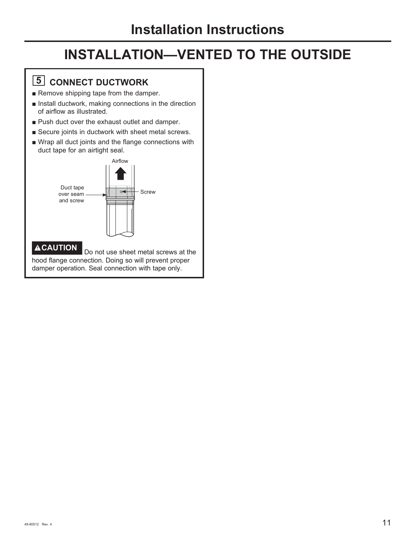## **5 CONNECT DUCTWORK**

- Remove shipping tape from the damper.
- $\blacksquare$  Install ductwork, making connections in the direction of airflow as illustrated.
- **Push duct over the exhaust outlet and damper.**
- $\blacksquare$  Secure joints in ductwork with sheet metal screws.
- Wrap all duct joints and the flange connections with duct tape for an airtight seal.

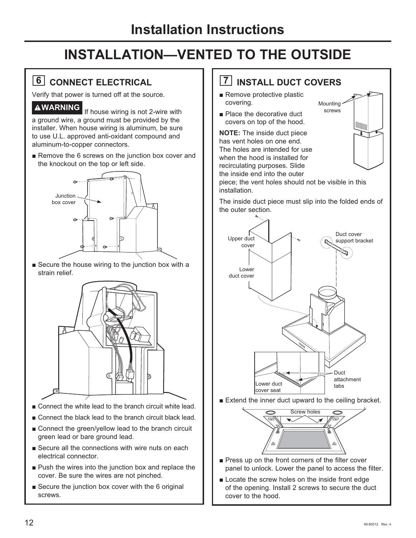## **6 CONNECT ELECTRICAL**

Verify that power is turned off at the source.

**WARNING** If house wiring is not 2-wire with a ground wire, a ground must be provided by the installer. When house wiring is aluminum, be sure to use U.L. approved anti-oxidant compound and aluminum-to-copper connectors.

Remove the 6 screws on the junction box cover and the knockout on the top or left side.



 $\blacksquare$  Secure the house wiring to the junction box with a strain relief.



- $\blacksquare$  Connect the white lead to the branch circuit white lead.
- Connect the black lead to the branch circuit black lead.
- Connect the green/yellow lead to the branch circuit green lead or bare ground lead.
- $\blacksquare$  Secure all the connections with wire nuts on each electrical connector.
- $\blacksquare$  Push the wires into the junction box and replace the cover. Be sure the wires are not pinched.
- Secure the junction box cover with the 6 original screws.

## **7 INSTALL DUCT COVERS**

- Remove protective plastic covering.
- $\blacksquare$  Place the decorative duct covers on top of the hood.

**NOTE:** The inside duct piece has vent holes on one end. The holes are intended for use when the hood is installed for recirculating purposes. Slide the inside end into the outer



piece; the vent holes should not be visible in this installation.

The inside duct piece must slip into the folded ends of the outer section.



 $\blacksquare$  Extend the inner duct upward to the ceiling bracket.



- $\blacksquare$  Press up on the front corners of the filter cover panel to unlock. Lower the panel to access the filter.
- $\blacksquare$  Locate the screw holes on the inside front edge of the opening. Install 2 screws to secure the duct cover to the hood.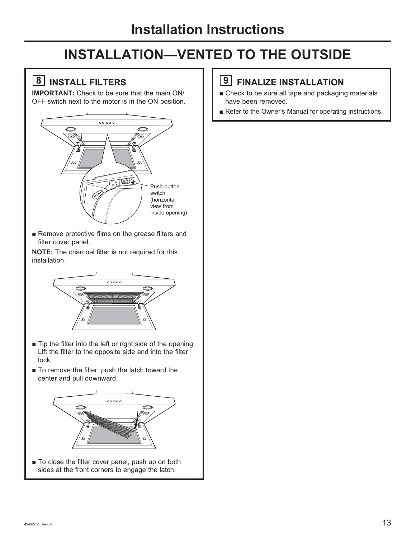## **8 INSTALL FILTERS**

**IMPORTANT:** Check to be sure that the main ON/ OFF switch next to the motor is in the ON position.



Remove protective films on the grease filters and filter cover panel.

**NOTE:** The charcoal filter is not required for this installation.



- $\blacksquare$  Tip the filter into the left or right side of the opening. Lift the filter to the opposite side and into the filter lock.
- To remove the filter, push the latch toward the center and pull downward.



■ To close the filter cover panel, push up on both sides at the front corners to engage the latch.

## **9 FINALIZE INSTALLATION**

- Check to be sure all tape and packaging materials have been removed.
- Refer to the Owner's Manual for operating instructions.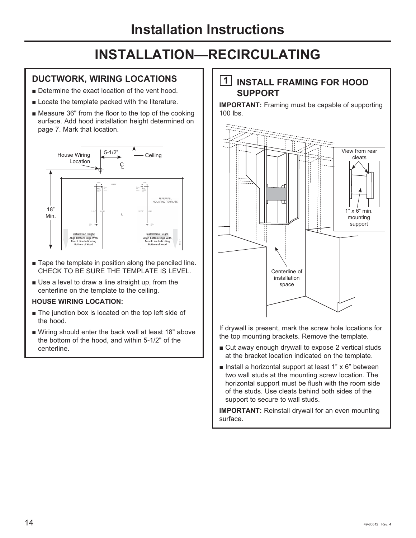#### **DUCTWORK, WIRING LOCATIONS**

- Determine the exact location of the vent hood.
- $\blacksquare$  Locate the template packed with the literature.
- $\blacksquare$  Measure 36" from the floor to the top of the cooking surface. Add hood installation height determined on page 7. Mark that location.



- $\blacksquare$  Tape the template in position along the penciled line. CHECK TO BE SURE THE TEMPLATE IS LEVEL.
- Use a level to draw a line straight up, from the centerline on the template to the ceiling.

#### **HOUSE WIRING LOCATION:**

- $\blacksquare$  The junction box is located on the top left side of the hood.
- Wiring should enter the back wall at least 18" above the bottom of the hood, and within 5-1/2" of the centerline.

#### **1 INSTALL FRAMING FOR HOOD SUPPORT**

**IMPORTANT:** Framing must be capable of supporting  $100$  lbs.



If drywall is present, mark the screw hole locations for the top mounting brackets. Remove the template.

- $\blacksquare$  Cut away enough drywall to expose 2 vertical studs at the bracket location indicated on the template.
- **I** Install a horizontal support at least 1"  $\times$  6" between two wall studs at the mounting screw location. The horizontal support must be flush with the room side of the studs. Use cleats behind both sides of the support to secure to wall studs.

**IMPORTANT:** Reinstall drywall for an even mounting surface.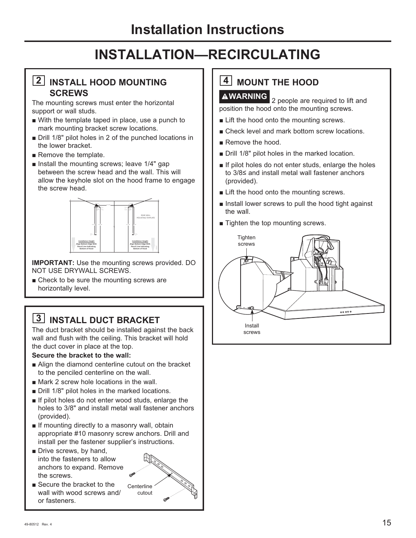#### **2 INSTALL HOOD MOUNTING SCREWS**

The mounting screws must enter the horizontal support or wall studs.

- $\blacksquare$  With the template taped in place, use a punch to mark mounting bracket screw locations.
- Drill 1/8" pilot holes in 2 of the punched locations in the lower bracket.
- $\blacksquare$  Remove the template.
- **n** Install the mounting screws; leave  $1/4$ " gap between the screw head and the wall. This will allow the keyhole slot on the hood frame to engage the screw head.



**IMPORTANT:** Use the mounting screws provided. DO NOT USE DRYWALL SCREWS

 $\blacksquare$  Check to be sure the mounting screws are horizontally level.

## **3 INSTALL DUCT BRACKET**

The duct bracket should be installed against the back wall and flush with the ceiling. This bracket will hold the duct cover in place at the top.

#### **Secure the bracket to the wall:**

- Alian the diamond centerline cutout on the bracket to the penciled centerline on the wall.
- $\blacksquare$  Mark 2 screw hole locations in the wall.
- Drill 1/8" pilot holes in the marked locations.
- If pilot holes do not enter wood studs, enlarge the holes to 3/8" and install metal wall fastener anchors (provided).
- $\blacksquare$  If mounting directly to a masonry wall, obtain appropriate #10 masonry screw anchors. Drill and install per the fastener supplier's instructions.
- Drive screws, by hand, into the fasteners to allow anchors to expand. Remove the screws.



**Centerline** cutout

# **4** MOUNT THE HOOD

**WARNING** 2 people are required to lift and position the hood onto the mounting screws.

- $\blacksquare$  Lift the hood onto the mounting screws.
- Check level and mark bottom screw locations.
- Remove the hood.
- Drill 1/8" pilot holes in the marked location.
- $\blacksquare$  If pilot holes do not enter studs, enlarge the holes to  $3/8$  and install metal wall fastener anchors (provided).
- $\blacksquare$  Lift the hood onto the mounting screws.
- $\blacksquare$  Install lower screws to pull the hood tight against the wall.
- $\blacksquare$  Tighten the top mounting screws.

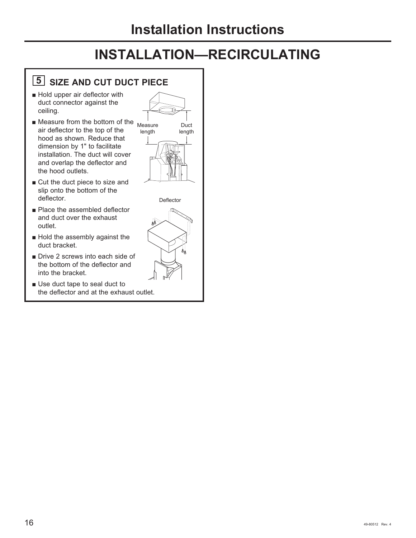## **5 SIZE AND CUT DUCT PIECE**

- $\blacksquare$  Hold upper air deflector with duct connector against the ceiling.
- $\blacksquare$  Measure from the bottom of the  $_{\text{Measure}}$ air deflector to the top of the hood as shown. Reduce that dimension by 1" to facilitate installation. The duct will cover and overlap the deflector and the hood outlets.
- $\blacksquare$  Cut the duct piece to size and slip onto the bottom of the deflector.
- Reflace the assembled deflector and duct over the exhaust outlet.
- $\blacksquare$  Hold the assembly against the duct bracket.
- Drive 2 screws into each side of the bottom of the deflector and into the bracket.
- $\blacksquare$  Use duct tape to seal duct to the deflector and at the exhaust outlet.



**Deflector** 

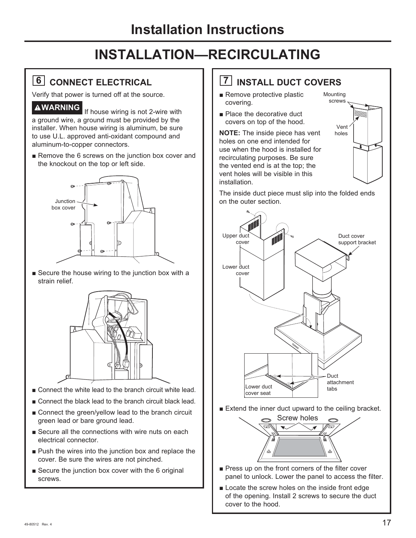## **6 CONNECT ELECTRICAL**

Verify that power is turned off at the source.

**WARNING** If house wiring is not 2-wire with a ground wire, a ground must be provided by the installer. When house wiring is aluminum, be sure to use U.L. approved anti-oxidant compound and aluminum-to-copper connectors.

Remove the 6 screws on the junction box cover and the knockout on the top or left side.



 $\blacksquare$  Secure the house wiring to the junction box with a strain relief.



- $\blacksquare$  Connect the white lead to the branch circuit white lead.
- Connect the black lead to the branch circuit black lead.
- Connect the green/yellow lead to the branch circuit green lead or bare ground lead.
- Secure all the connections with wire nuts on each electrical connector.
- $\blacksquare$  Push the wires into the junction box and replace the cover. Be sure the wires are not pinched.
- $\blacksquare$  Secure the junction box cover with the 6 original screws.

## **7 INSTALL DUCT COVERS**

- $\blacksquare$  Remove protective plastic covering.
- $\blacksquare$  Place the decorative duct covers on top of the hood.

**NOTE:** The inside piece has vent holes on one end intended for use when the hood is installed for recirculating purposes. Be sure the vented end is at the top; the vent holes will be visible in this installation.



The inside duct piece must slip into the folded ends on the outer section.



 $\blacksquare$  Extend the inner duct upward to the ceiling bracket.



- $\blacksquare$  Press up on the front corners of the filter cover panel to unlock. Lower the panel to access the filter.
- **Example 2** Locate the screw holes on the inside front edge of the opening. Install 2 screws to secure the duct cover to the hood.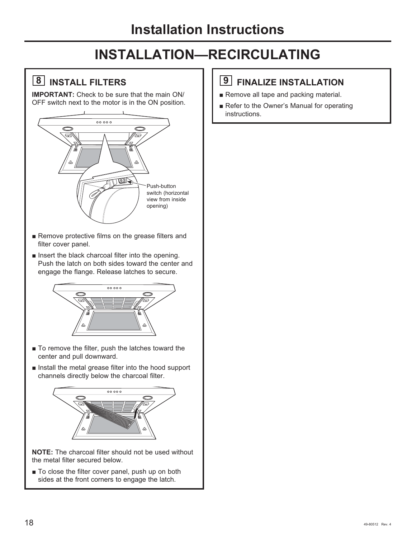## **8 INSTALL FILTERS**

**IMPORTANT:** Check to be sure that the main ON/ OFF switch next to the motor is in the ON position.



- Remove protective films on the grease filters and filter cover panel.
- $\blacksquare$  Insert the black charcoal filter into the opening. Push the latch on both sides toward the center and engage the flange. Release latches to secure.



- To remove the filter, push the latches toward the center and pull downward.
- $\blacksquare$  Install the metal grease filter into the hood support channels directly below the charcoal filter.



**NOTE:** The charcoal filter should not be used without the metal filter secured below.

 $\blacksquare$  To close the filter cover panel, push up on both sides at the front corners to engage the latch.

## **9 FINALIZE INSTALLATION**

- Remove all tape and packing material.
- Refer to the Owner's Manual for operating instructions.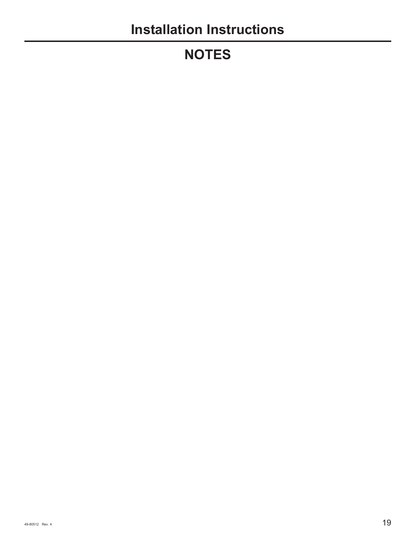# **NOTES**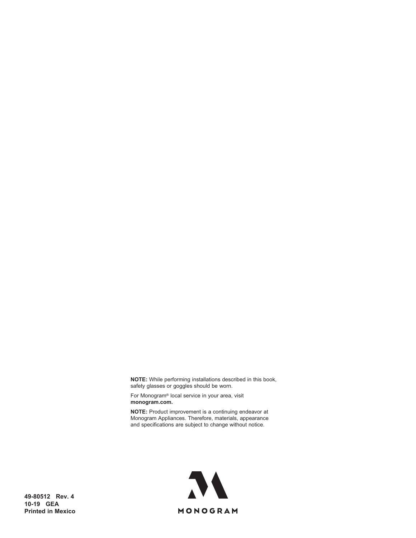**NOTE:** While performing installations described in this book, safety glasses or goggles should be worn.

For Monogram® local service in your area, visit **monogram.com.**

**NOTE:** Product improvement is a continuing endeavor at Monogram Appliances. Therefore, materials, appearance and specifications are subject to change without notice.



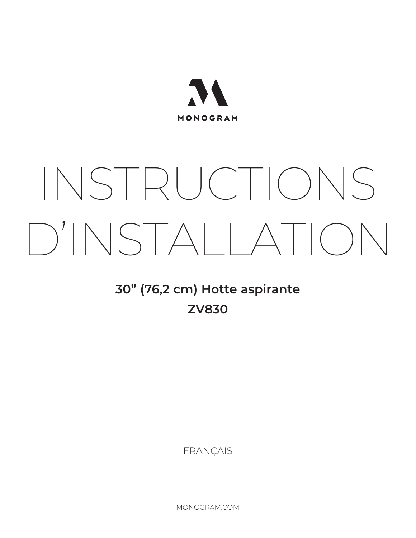

# INSTRUCTIONS D'INSTALLATION

# **30" (76,2 cm) Hotte aspirante ZV830**

FRANÇAIS

MONOGRAM.COM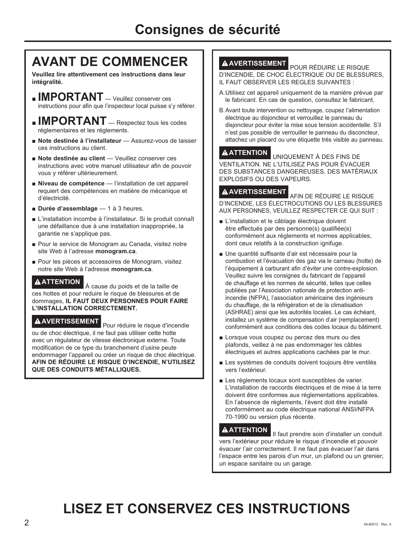## **AVANT DE COMMENCER**

**Veuillez lire attentivement ces instructions dans leur intégralité.**

- **IMPORTANT** Veuillez conserver ces instructions pour afin que l'inspecteur local puisse s'y référer.
- **IMPORTANT** Respectez tous les codes réglementaires et les réglements.
- **Note destinée à l'installateur** Assurez-vous de laisser ces instructions au client.
- **Note destinée au client** Veuillez conserver ces instructions avec votre manuel utilisateur afin de pouvoir vous y référer ultérieurement.
- Niveau de compétence l'installation de cet appareil requiert des compétences en matière de mécanique et d'électricité.
- **Durée d'assemblage** 1 à 3 heures.
- L'installation incombe à l'installateur. Si le produit connaît une défaillance due à une installation inappropriée, la garantie ne s'applique pas.
- Pour le service de Monogram au Canada, visitez notre site Web à l'adresse monogram.ca.
- Pour les pièces et accessoires de Monogram, visitez notre site Web à l'adresse monogram.ca.

**ATTENTION** À cause du poids et de la taille de ces hottes et pour reduire le risque de blessures et de dommages, **IL FAUT DEUX PERSONNES POUR FAIRE L'INSTALLATION CORRECTEMENT.**

**A AVERTISSEMENT**<br>Pour réduire le risque d'incendie ou de choc électrique, il ne faut pas utiliser cette hotte avec un régulateur de vitesse électronique externe. Toute modification de ce type du branchement d'usine peute endommager l'appareil ou créer un risque de choc électrique. **AFIN DE RÉDUIRE LE RISQUE D'INCENDIE, N'UTILISEZ QUE DES CONDUITS MÉTALLIQUES.**

**A AVERTISSEMENT** POUR RÉDUIRE LE RISQUE D'INCENDIE, DE CHOC ÉLECTRIQUE OU DE BLESSURES, IL FAUT OBSERVER LES REGLES SUIVANTES :

- A. Utilisez cet appareil uniquement de la maniére prévue par le fabricant. En cas de question, consultez le fabricant.
- B. Avant toute intervention ou nettoyage, coupez l'alimentation électrique au disjoncteur et verrouillez le panneau du disjoncteur pour éviter la mise sous tension accidentelle. S'il n'est pas possible de verrouiller le panneau du disconcteur, attachez un placard ou une étiquette trés visible au panneau.

**A ATTENTION** UNIQUEMENT À DES FINS DE VENTILATION. NE L'UTILISEZ PAS POUR ÉVACUER DES SUBSTANCES DANGEREUSES, DES MATÉRIAUX EXPLOSIFS OU DES VAPEURS.

**A AVERTISSEMENT** AFIN DE RÉDUIRE LE RISOUE D'INCENDIE. LES ÉLECTROCUTIONS OU LES BLESSURES AUX PERSONNES, VEUILLEZ RESPECTER CE QUI SUIT :

- L'installation et le câblage électrique doivent être effectués par des personne(s) qualifiée(s) conformément aux règlements et normes applicables, dont ceux relatifs à la construction ignifuge.
- Une quantité suffisante d'air est nécessaire pour la combustion et l'évacuation des gaz via le carneau (hotte) de l'équipement à carburant afin d'éviter une contre-explosion. Veuillez suivre les consignes du fabricant de l'appareil de chauffage et les normes de sécurité, telles que celles publiées par l'Association nationale de protection antiincendie (NFPA), l'association américaine des ingénieurs du chauffage, de la réfrigération et de la climatisation (ASHRAE) ainsi que les autorités locales. Le cas échéant, installez un système de compensation d'air (remplacement) conformément aux conditions des codes locaux du bâtiment.
- Lorsque vous coupez ou percez des murs ou des plafonds, veillez à ne pas endommager les câbles électriques et autres applications cachées par le mur.
- Les systèmes de conduits doivent toujours être ventilés vers l'extérieur.
- Les règlements locaux sont susceptibles de varier. L'installation de raccords électriques et de mise à la terre doivent être conformes aux réglementations applicables. En l'absence de règlements, l'évent doit être installé conformément au code électrique national ANSI/NFPA 70-1990 ou version plus récente.

**A ATTENTION** || faut prendre soin d'installer un conduit vers l'extérieur pour réduire le risque d'incendie et pouvoir évacuer l'air correctement. Il ne faut pas évacuer l'air dans l'espace entre les parois d'un mur, un plafond ou un grenier, un espace sanitaire ou un garage.

# **LISEZ ET CONSERVEZ CES INSTRUCTIONS**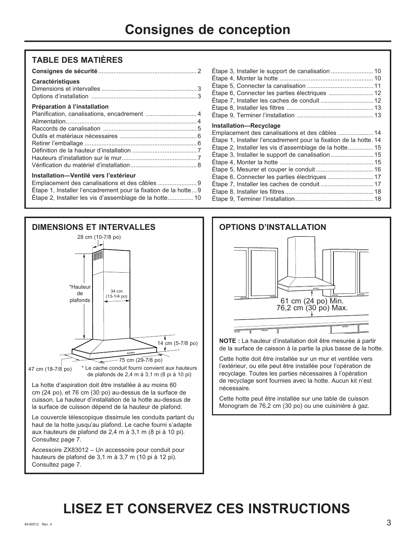#### **TABLE DES MATIÈRES**

| <b>Caractéristiques</b>                        |  |
|------------------------------------------------|--|
| Préparation à l'installation                   |  |
|                                                |  |
|                                                |  |
|                                                |  |
|                                                |  |
|                                                |  |
|                                                |  |
|                                                |  |
|                                                |  |
| Installation-Ventilé vers l'extérieur          |  |
| Emplacement des canalisations et des câbles  9 |  |

| Étape 1, Installer l'encadrement pour la fixation de la hotte 9 |
|-----------------------------------------------------------------|
| Étape 2, Installer les vis d'assemblage de la hotte 10          |



cm (24 po), et 76 cm (30 po) au-dessus de la surface de cuisson. La hauteur d'installation de la hotte au-dessus de la surface de cuisson dépend de la hauteur de plafond.

Le couvercle télescopique dissimule les conduits partant du haut de la hotte jusqu'au plafond. Le cache fourni s'adapte aux hauteurs de plafond de 2,4 m à 3,1 m (8 pi à 10 pi). Consultez page 7.

Accessoire ZX83012 - Un accessoire pour conduit pour hauteurs de plafond de 3,1 m à 3,7 m (10 pi à 12 pi). Consultez page 7.

| Étape 3, Installer le support de canalisation  10                 |  |
|-------------------------------------------------------------------|--|
|                                                                   |  |
|                                                                   |  |
| Étape 6, Connecter les parties électriques  12                    |  |
|                                                                   |  |
|                                                                   |  |
|                                                                   |  |
| <b>Installation-Recyclage</b>                                     |  |
| Emplacement des canalisations et des câbles  14                   |  |
| Étape 1, Installer l'encadrement pour la fixation de la hotte. 14 |  |
| Étape 2, Installer les vis d'assemblage de la hotte 15            |  |
| Étape 3, Installer le support de canalisation  15                 |  |
|                                                                   |  |
| Étape 5, Mesurer et couper le conduit 16                          |  |
| Étape 6, Connecter les parties électriques  17                    |  |
| Étape 7, Installer les caches de conduit  17                      |  |
|                                                                   |  |

eWDSH,QVWDOOHUOHVILOWUHV .................................................... 18 eWDSH7HUPLQHUO¶LQVWDOODWLRQ .............................................. 18



**NOTE** : La hauteur d'installation doit être mesurée à partir de la surface de caisson à la partie la plus basse de la hotte.

Cette hotte doit être installée sur un mur et ventilée vers l'extérieur, ou elle peut être installée pour l'opération de recyclage. Toutes les parties nécessaires à l'opération de recyclage sont fournies avec la hotte. Aucun kit n'est nécessaire.

Cette hotte peut être installée sur une table de cuisson Monogram de 76,2 cm (30 po) ou une cuisinière à gaz.

# **LISEZ ET CONSERVEZ CES INSTRUCTIONS**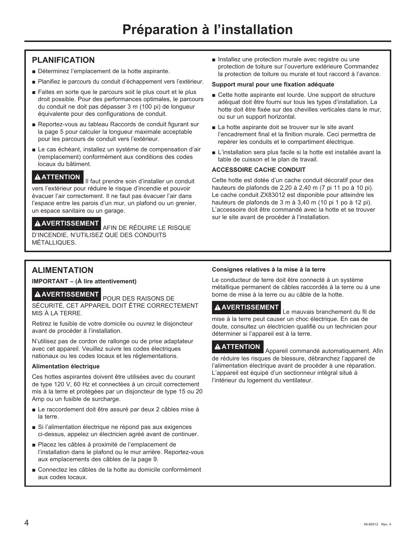#### **PLANIFICATION**

- Déterminez l'emplacement de la hotte aspirante.
- Planifiez le parcours du conduit d'échappement vers l'extérieur.
- E Faites en sorte que le parcours soit le plus court et le plus droit possible. Pour des performances optimales, le parcours du conduit ne doit pas dépasser 3 m (100 pi) de longueur équivalente pour des configurations de conduit.
- Reportez-vous au tableau Raccords de conduit figurant sur la page 5 pour calculer la longueur maximale acceptable pour les parcours de conduit vers l'extérieur.
- Le cas échéant, installez un système de compensation d'air (remplacement) conformément aux conditions des codes locaux du bâtiment.

**A ATTENTION I** faut prendre soin d'installer un conduit vers l'extérieur pour réduire le risque d'incendie et pouvoir évacuer l'air correctement. Il ne faut pas évacuer l'air dans l'espace entre les parois d'un mur, un plafond ou un grenier, un espace sanitaire ou un garage.

#### **A AVERTISSEMENT**<br>AFIN DE RÉDUIRE LE RISQUE

D'INCENDIE, N'UTILISEZ QUE DES CONDUITS MÉTALLIQUES.

Installez une protection murale avec registre ou une protection de toiture sur l'ouverture extérieure Commandez la protection de toiture ou murale et tout raccord à l'avance.

#### **Support mural pour une fixation adéquate**

- $\blacksquare$  Cette hotte aspirante est lourde. Une support de structure adéquat doit être fourni sur tous les types d'installation. La hotte doit être fixée sur des chevilles verticales dans le mur, ou sur un support horizontal.
- La hotte aspirante doit se trouver sur le site avant l'encadrement final et la finition murale. Ceci permettra de repérer les conduits et le compartiment électrique.
- L'installation sera plus facile si la hotte est installée avant la table de cuisson et le plan de travail.

#### **ACCESSOIRE CACHE CONDUIT**

Cette hotte est dotée d'un cache conduit décoratif pour des hauteurs de plafonds de 2,20 à 2,40 m (7 pi 11 po à 10 pi). Le cache conduit ZX83012 est disponible pour atteindre les hauteurs de plafonds de 3 m à 3,40 m (10 pi 1 po à 12 pi). L'accessoire doit être commandé avec la hotte et se trouver sur le site avant de procéder à l'installation.

#### **ALIMENTATION**

**IMPORTANT – (À lire attentivement)**

**A AVERTISSEMENT** POUR DES RAISONS DE

SÉCURITÉ, CET APPAREIL DOIT ÊTRE CORRECTEMENT MIS À LA TERRE.

Retirez le fusible de votre domicile ou ouvrez le disjoncteur avant de procéder à l'installation.

N'utilisez pas de cordon de rallonge ou de prise adaptateur avec cet appareil. Veuillez suivre les codes électriques nationaux ou les codes locaux et les réglementations.

#### **Alimentation électrique**

Ces hottes aspirantes doivent être utilisées avec du courant de type 120 V, 60 Hz et connectées à un circuit correctement mis à la terre et protégées par un disjoncteur de type 15 ou 20 Amp ou un fusible de surcharge.

- Le raccordement doit être assuré par deux 2 câbles mise à la terre.
- Si l'alimentation électrique ne répond pas aux exigences ci-dessus, appelez un électricien agréé avant de continuer.
- Placez les câbles à proximité de l'emplacement de l'installation dans le plafond ou le mur arrière. Reportez-vous aux emplacements des câbles de la page 9.
- Connectez les câbles de la hotte au domicile conformément aux codes locaux.

#### **Consignes relatives à la mise à la terre**

Le conducteur de terre doit être connecté à un système métallique permanent de câbles raccordés à la terre ou à une borne de mise à la terre ou au câble de la hotte.

#### **A AVERTISSEMENT** Le mauvais branchement du fil de

mise à la terre peut causer un choc électrique. En cas de doute, consultez un électricien qualifié ou un technicien pour déterminer si l'appareil est à la terre.

**ATTENTION** Appareil commandé automatiquement. Afin de réduire les risques de blessure, débranchez l'appareil de l'alimentation électrique avant de procéder à une réparation. L'appareil est équipé d'un sectionneur intégral situé à l'intérieur du logement du ventilateur.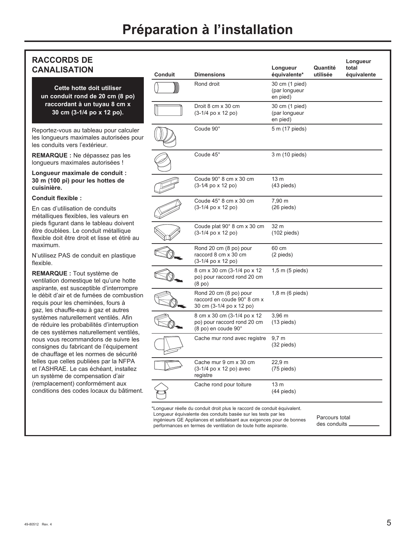#### **RACCORDS DE CANALISATION**

**Cette hotte doit utiliser un conduit rond de 20 cm (8 po) raccordant à un tuyau 8 cm x 30 cm (3-1/4 po x 12 po).**

Reportez-vous au tableau pour calculer les longueurs maximales autorisées pour les conduits vers l'extérieur.

**REMARQUE :** Ne dépassez pas les longueurs maximales autorisées !

**Longueur maximale de conduit : 30 m (100 pi) pour les hottes de cuisinière.**

#### **Conduit flexible :**

En cas d'utilisation de conduits métalliques flexibles, les valeurs en pieds figurant dans le tableau doivent être doublées. Le conduit métallique flexible doit être droit et lisse et étiré au maximum.

N'utilisez PAS de conduit en plastique flexible.

**REMARQUE :** Tout système de ventilation domestique tel qu'une hotte aspirante, est susceptible d'interrompre le débit d'air et de fumées de combustion requis pour les cheminées, fours à gaz, les chauffe-eau à gaz et autres systèmes naturellement ventilés. Afin de réduire les probabilités d'interruption de ces systèmes naturellement ventilés, nous vous recommandons de suivre les consignes du fabricant de l'équipement de chauffage et les normes de sécurité telles que celles publiées par la NFPA et l'ASHRAE. Le cas échéant, installez un système de compensation d'air (remplacement) conformément aux conditions des codes locaux du bâtiment.

| <b>Conduit</b> | <b>Dimensions</b>                                                                 | Longueur<br>équivalente*                    | Quantité<br>utilisée | Longueur<br>total<br>équivalente |
|----------------|-----------------------------------------------------------------------------------|---------------------------------------------|----------------------|----------------------------------|
|                | Rond droit                                                                        | 30 cm (1 pied)<br>(par longueur<br>en pied) |                      |                                  |
|                | Droit 8 cm x 30 cm<br>(3-1/4 po x 12 po)                                          | 30 cm (1 pied)<br>(par longueur<br>en pied) |                      |                                  |
|                | Coude 90°                                                                         | 5 m (17 pieds)                              |                      |                                  |
|                | Coude 45°                                                                         | 3 m (10 pieds)                              |                      |                                  |
|                | Coude 90° 8 cm x 30 cm<br>(3-1/4 po x 12 po)                                      | 13 <sub>m</sub><br>$(43$ pieds)             |                      |                                  |
|                | Coude 45° 8 cm x 30 cm<br>(3-1/4 po x 12 po)                                      | 7,90 m<br>$(26$ pieds)                      |                      |                                  |
|                | Coude plat 90° 8 cm x 30 cm<br>(3-1/4 po x 12 po)                                 | 32 m<br>$(102$ pieds)                       |                      |                                  |
|                | Rond 20 cm (8 po) pour<br>raccord 8 cm x 30 cm<br>(3-1/4 po x 12 po)              | 60 cm<br>(2 pieds)                          |                      |                                  |
|                | 8 cm x 30 cm (3-1/4 po x 12)<br>po) pour raccord rond 20 cm<br>(8 <sub>po</sub> ) | 1,5 m (5 pieds)                             |                      |                                  |
|                | Rond 20 cm (8 po) pour<br>raccord en coude 90° 8 cm x<br>30 cm (3-1/4 po x 12 po) | 1,8 m (6 pieds)                             |                      |                                  |
|                | 8 cm x 30 cm (3-1/4 po x 12<br>po) pour raccord rond 20 cm<br>(8 po) en coude 90° | $3,96 \, m$<br>$(13$ pieds)                 |                      |                                  |
|                | Cache mur rond avec registre                                                      | $9,7 \text{ m}$<br>$(32 \text{ pieds})$     |                      |                                  |
|                | Cache mur 9 cm x 30 cm<br>(3-1/4 po x 12 po) avec<br>registre                     | 22,9 m<br>$(75$ pieds)                      |                      |                                  |
|                | Cache rond pour toiture                                                           | 13 m<br>$(44$ pieds)                        |                      |                                  |

ingénieurs GE Appliances et satisfaisant aux exigences pour de bonnes<br>performances en termes de ventilation de toute hotte aspirante.

des conduits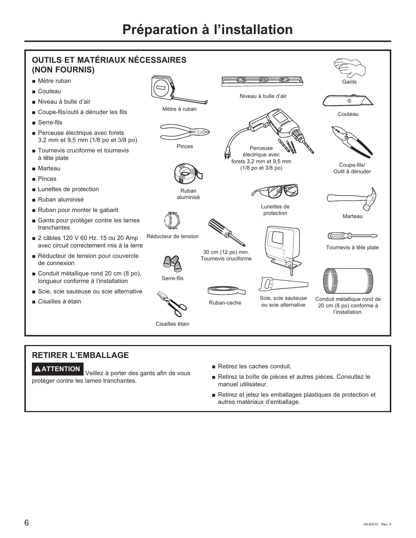

#### **RETIRER L'EMBALLAGE**

**ATTENTION** Veillez à porter des gants afin de vous protéger contre les lames tranchantes.

- $\blacksquare$  Retirez les caches conduit.
- Retirez la boîte de pièces et autres pièces. Consultez le manuel utilisateur.
- Retirez et jetez les emballages plastiques de protection et autres matériaux d'emballage.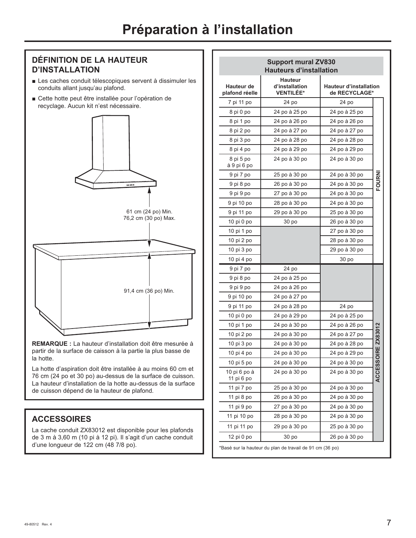#### **DÉFINITION DE LA HAUTEUR D'INSTALLATION**

- Les caches conduit télescopiques servent à dissimuler les conduits allant jusqu'au plafond.
- Cette hotte peut être installée pour l'opération de recyclage. Aucun kit n'est nécessaire.



**REMARQUE :** La hauteur d'installation doit être mesurée à partir de la surface de caisson à la partie la plus basse de la hotte.

La hotte d'aspiration doit être installée à au moins 60 cm et 76 cm (24 po et 30 po) au-dessus de la surface de cuisson. La hauteur d'installation de la hotte au-dessus de la surface de cuisson dépend de la hauteur de plafond.

#### **ACCESSOIRES**

La cache conduit ZX83012 est disponible pour les plafonds de 3 m à 3,60 m (10 pi à 12 pi). Il s'agit d'un cache conduit d'une longueur de 122 cm (48 7/8 po).

|                                     | <b>Support mural ZV830</b><br><b>Hauteurs d'installation</b> |                                         |                     |
|-------------------------------------|--------------------------------------------------------------|-----------------------------------------|---------------------|
| <b>Hauteur de</b><br>plafond réelle | Hauteur<br>d'installation<br><b>VENTILÉE*</b>                | Hauteur d'installation<br>de RECYCLAGE* |                     |
| 7 pi 11 po                          | 24 po                                                        | 24 po                                   |                     |
| 8 pi 0 po                           | 24 po à 25 po                                                | 24 po à 25 po                           |                     |
| 8 pi 1 po                           | 24 po à 26 po                                                | 24 po à 26 po                           |                     |
| 8 pi 2 po                           | 24 po à 27 po                                                | 24 po à 27 po                           |                     |
| 8 pi 3 po                           | 24 po à 28 po                                                | 24 po à 28 po                           |                     |
| 8 pi 4 po                           | 24 po à 29 po                                                | 24 po à 29 po                           |                     |
| 8 pi 5 po<br>à 9 pi 6 po            | 24 po à 30 po                                                | 24 po à 30 po                           |                     |
| 9 pi 7 po                           | 25 po à 30 po                                                | 24 po à 30 po                           |                     |
| 9 pi 8 po                           | 26 po à 30 po                                                | 24 po à 30 po                           | <b>FOURN</b>        |
| 9 pi 9 po                           | 27 po à 30 po                                                | 24 po à 30 po                           |                     |
| 9 pi 10 po                          | 28 po à 30 po                                                | 24 po à 30 po                           |                     |
| 9 pi 11 po                          | 29 po à 30 po                                                | 25 po à 30 po                           |                     |
| 10 pi 0 po                          | 30 po                                                        | 26 po à 30 po                           |                     |
| 10 pi 1 po                          |                                                              | 27 po à 30 po                           |                     |
| 10 pi 2 po                          |                                                              | 28 po à 30 po                           |                     |
| 10 pi 3 po                          |                                                              | 29 po à 30 po                           |                     |
| 10 pi 4 po                          |                                                              | 30 po                                   |                     |
| 9 pi 7 po                           | 24 po                                                        |                                         |                     |
| 9 pi 8 po                           | 24 po à 25 po                                                |                                         |                     |
| 9 pi 9 po                           | 24 po à 26 po                                                |                                         |                     |
| 9 pi 10 po                          | 24 po à 27 po                                                |                                         |                     |
| 9 pi 11 po                          | 24 po à 28 po                                                | 24 po                                   |                     |
| 10 pi 0 po                          | 24 po à 29 po                                                | 24 po à 25 po                           |                     |
| 10 pi 1 po                          | 24 po à 30 po                                                | 24 po à 26 po                           |                     |
| 10 pi 2 po                          | 24 po à 30 po                                                | 24 po à 27 po                           |                     |
| 10 pi 3 po                          | 24 po à 30 po                                                | 24 po à 28 po                           | <b>OIRE ZX83012</b> |
| 10 pi 4 po                          | 24 po à 30 po                                                | 24 po à 29 po                           |                     |
| 10 pi 5 po                          | 24 po à 30 po                                                | 24 po à 30 po                           |                     |
| 10 pi 6 po à<br>11 pi 6 po          | 24 po à 30 po                                                | 24 po à 30 po                           | <b>ACCESS</b>       |
| 11 pi 7 po                          | 25 po à 30 po                                                | 24 po à 30 po                           |                     |
| 11 pi 8 po                          | 26 po à 30 po                                                | 24 po à 30 po                           |                     |
| 11 pi 9 po                          | 27 po à 30 po                                                | 24 po à 30 po                           |                     |
|                                     |                                                              |                                         |                     |
| 11 pi 10 po                         | 28 po à 30 po                                                | 24 po à 30 po                           |                     |
| 11 pi 11 po                         | 29 po à 30 po                                                | 25 po à 30 po                           |                     |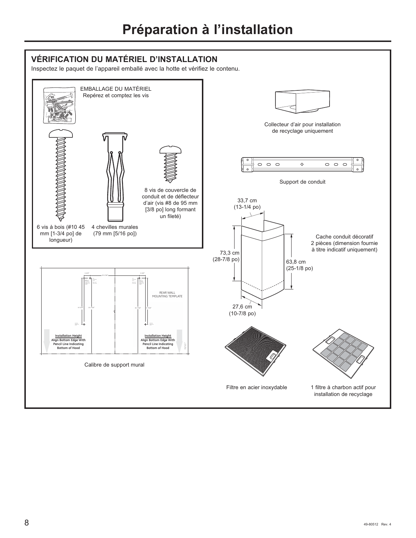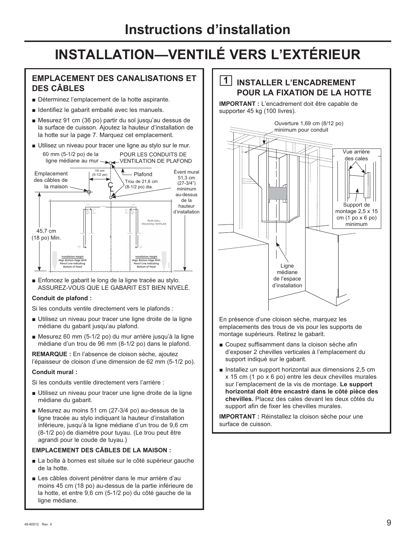#### **EMPLACEMENT DES CANALISATIONS ET DES CÂBLES**

- Déterminez l'emplacement de la hotte aspirante.
- **J** Identifiez le gabarit emballé avec les manuels.
- $\blacksquare$  Mesurez 91 cm (36 po) partir du sol jusqu'au dessus de la surface de cuisson. Ajoutez la hauteur d'installation de la hotte sur la page 7. Marquez cet emplacement.
- Utilisez un niveau pour tracer une ligne au stylo sur le mur.



Enfoncez le gabarit le long de la ligne tracée au stylo. ASSUREZ-VOUS QUE LE GABARIT EST BIEN NIVELÉ.

#### **Conduit de plafond :**

Si les conduits ventile directement vers le plafonds :

- Utilisez un niveau pour tracer une ligne droite de la ligne médiane du gabarit jusqu'au plafond.
- Nesurez 60 mm (5-1/2 po) du mur arrière jusqu'à la ligne médiane d'un trou de 96 mm (8-1/2 po) dans le plafond.

**REMARQUE :** En l'absence de cloison sèche, ajoutez l'épaisseur de cloison d'une dimension de 62 mm (5-1/2 po).

#### **Conduit mural :**

Si les conduits ventile directement vers l'arrière :

- Utilisez un niveau pour tracer une ligne droite de la ligne médiane du gabarit.
- Mesurez au moins 51 cm (27-3/4 po) au-dessus de la ligne tracée au stylo indiquant la hauteur d'installation inférieure, jusqu'à la ligne médiane d'un trou de 9,6 cm (8-1/2 po) de diamètre pour tuyau. (Le trou peut être agrandi pour le coude de tuyau.)

#### **EMPLACEMENT DES CÂBLES DE LA MAISON :**

- La boîte à bornes est située sur le côté supérieur gauche de la hotte.
- Les câbles doivent pénétrer dans le mur arrière d'au moins 45 cm (18 po) au-dessus de la partie inférieure de la hotte, et entre 9,6 cm (5-1/2 po) du côté gauche de la ligne médiane.

#### **1 INSTALLER L'ENCADREMENT POUR LA FIXATION DE LA HOTTE**

**IMPORTANT :** L'encadrement doit être capable de supporter 45 kg (100 livres).



En présence d'une cloison sèche, marquez les emplacements des trous de vis pour les supports de montage supérieurs. Retirez le gabarit.

- Coupez suffisamment dans la cloison sèche afin d'exposer 2 chevilles verticales à l'emplacement du support indiqué sur le gabarit.
- **Installez un support horizontal aux dimensions 2,5 cm**  $x$  15 cm (1 po  $x$  6 po) entre les deux chevilles murales sur l'emplacement de la vis de montage. **Le support horizontal doit être encastré dans le côté pièce des**  chevilles. Placez des cales devant les deux côtés du support afin de fixer les chevilles murales.

**IMPORTANT :** Réinstallez la cloison sèche pour une surface de cuisson.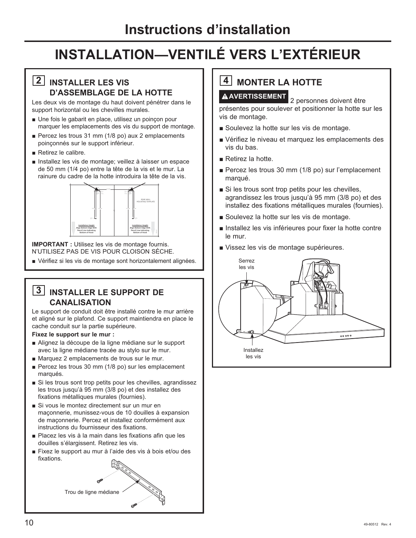#### **2 INSTALLER LES VIS D'ASSEMBLAGE DE LA HOTTE**

Les deux vis de montage du haut doivent pénétrer dans le support horizontal ou les chevilles murales.

- Une fois le gabarit en place, utilisez un poinçon pour marquer les emplacements des vis du support de montage.
- Percez les trous 31 mm (1/8 po) aux 2 emplacements poinçonnés sur le support inférieur.
- $\blacksquare$  Retirez le calibre.
- Installez les vis de montage; veillez à laisser un espace de 50 mm (1/4 po) entre la tête de la vis et le mur. La rainure du cadre de la hotte introduira la tête de la vis.



**IMPORTANT :** Utilisez les vis de montage fournis. N'UTILISEZ PAS DE VIS POUR CLOISON SÈCHE.

Vérifiez si les vis de montage sont horizontalement alignées.

#### **3 INSTALLER LE SUPPORT DE CANALISATION**

Le support de conduit doit être installé contre le mur arrière et aligné sur le plafond. Ce support maintiendra en place le cache conduit sur la partie supérieure.

**Fixez le support sur le mur :**

- Alignez la découpe de la ligne médiane sur le support avec la ligne médiane tracée au stylo sur le mur.
- Marquez 2 emplacements de trous sur le mur.
- Percez les trous 30 mm (1/8 po) sur les emplacement marqués.
- $\blacksquare$  Si les trous sont trop petits pour les chevilles, agrandissez les trous jusqu'à 95 mm (3/8 po) et des installez des fixations métalliques murales (fournies).
- Si vous le montez directement sur un mur en maconnerie, munissez-vous de 10 douilles à expansion de maconnerie. Percez et installez conformément aux instructions du fournisseur des fixations.
- Placez les vis à la main dans les fixations afin que les douilles s'élargissent. Retirez les vis.
- E Fixez le support au mur à l'aide des vis à bois et/ou des fixations.



## **4** MONTER LA HOTTE

**AVERTISSEMENT** 2 personnes doivent être présentes pour soulever et positionner la hotte sur les vis de montage.

- Soulevez la hotte sur les vis de montage.
- Vérifiez le niveau et marquez les emplacements des vis du bas.
- Retirez la hotte.
- Percez les trous 30 mm (1/8 po) sur l'emplacement marqué.
- Si les trous sont trop petits pour les chevilles, agrandissez les trous jusqu'à 95 mm (3/8 po) et des installez des fixations métalliques murales (fournies).
- Soulevez la hotte sur les vis de montage.
- Installez les vis inférieures pour fixer la hotte contre le mur.
- Vissez les vis de montage supérieures.

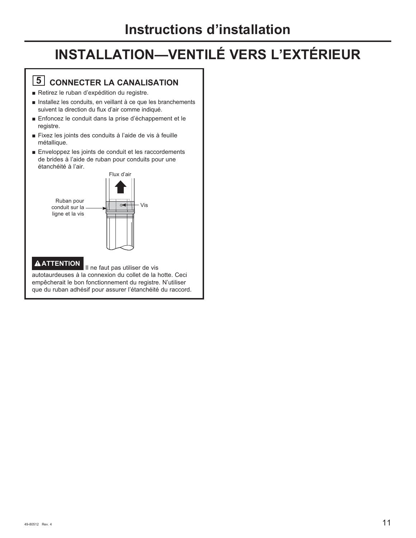## **5** CONNECTER LA CANALISATION

- Retirez le ruban d'expédition du registre.
- Installez les conduits, en veillant à ce que les branchements suivent la direction du flux d'air comme indiqué.
- Enfoncez le conduit dans la prise d'échappement et le registre.
- E Fixez les joints des conduits à l'aide de vis à feuille métallique.
- $\blacksquare$  Enveloppez les joints de conduit et les raccordements de brides à l'aide de ruban pour conduits pour une étanchéité à l'air.



## **A ATTENTION** II ne faut pas utiliser de vis

autotaurdeuses à la connexion du collet de la hotte. Ceci empêcherait le bon fonctionnement du registre. N'utiliser que du ruban adhésif pour assurer l'étanchéité du raccord.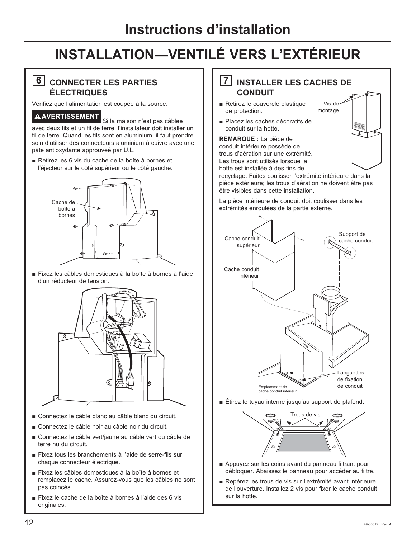#### **6 CONNECTER LES PARTIES ÉLECTRIQUES**

Vérifiez que l'alimentation est coupée à la source.

**A AVERTISSEMENT** Si la maison n'est pas câblee avec deux fils et un fil de terre, l'installateur doit installer un fil de terre. Quand les fils sont en aluminium, il faut prendre soin d'utiliser des connecteurs aluminium à cuivre avec une pâte antioxydante approuveé par U.L.

Retirez les 6 vis du cache de la boîte à bornes et l'éjecteur sur le côté supérieur ou le côté gauche.



E Fixez les câbles domestiques à la boîte à bornes à l'aide d'un réducteur de tension.



- Connectez le câble blanc au câble blanc du circuit.
- Connectez le câble noir au câble noir du circuit.
- Connectez le câble vert/jaune au câble vert ou câble de terre nu du circuit.
- E Fixez tous les branchements à l'aide de serre-fils sur chaque connecteur électrique.
- E Fixez les câbles domestiques à la boîte à bornes et remplacez le cache. Assurez-vous que les câbles ne sont pas coincés.
- E Fixez le cache de la boîte à bornes à l'aide des 6 vis originales.

#### **7 INSTALLER LES CACHES DE CONDUIT**

Vis de montage

- Retirez le couvercle plastique de protection.
- Placez les caches décoratifs de conduit sur la hotte.

**REMARQUE :** La pièce de conduit intérieure possède de trous d'aération sur une extrémité. Les trous sont utilisés lorsque la hotte est installée à des fins de

recyclage. Faites coulisser l'extrémité intérieure dans la pièce extérieure; les trous d'aération ne doivent être pas être visibles dans cette installation.

La pièce intérieure de conduit doit coulisser dans les extrémités enroulées de la partie externe.



 $\blacksquare$  Étirez le tuyau interne jusqu'au support de plafond.



- $\blacksquare$  Appuyez sur les coins avant du panneau filtrant pour débloquer. Abaissez le panneau pour accéder au filtre.
- Repérez les trous de vis sur l'extrémité avant intérieure de l'ouverture. Installez 2 vis pour fixer le cache conduit sur la hotte.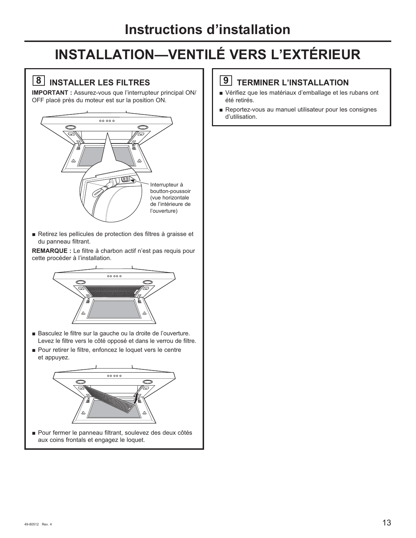## **8 INSTALLER LES FILTRES**

**IMPORTANT** : Assurez-vous que l'interrupteur principal ON/ OFF placé près du moteur est sur la position ON.



Retirez les pellicules de protection des filtres à graisse et du panneau filtrant.

**REMARQUE :** Le filtre à charbon actif n'est pas requis pour cette procéder à l'installation.



- Basculez le filtre sur la gauche ou la droite de l'ouverture. Levez le filtre vers le côté opposé et dans le verrou de filtre.
- Pour retirer le filtre, enfoncez le loquet vers le centre et appuyez.



■ Pour fermer le panneau filtrant, soulevez des deux côtés aux coins frontals et engagez le loquet.

#### **9 TERMINER L'INSTALLATION**

- Vérifiez que les matériaux d'emballage et les rubans ont été retirés.
- Reportez-vous au manuel utilisateur pour les consignes d'utilisation.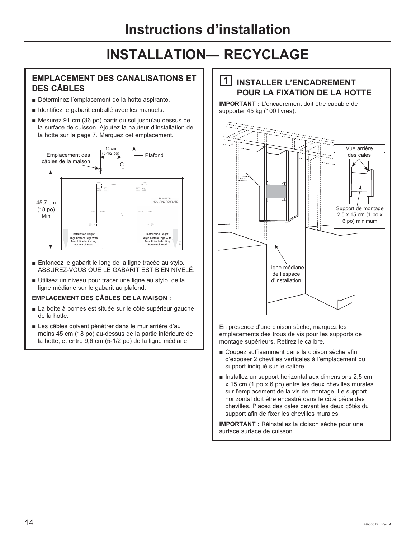#### **EMPLACEMENT DES CANALISATIONS ET DES CÂBLES**

- Déterminez l'emplacement de la hotte aspirante.
- **I** Identifiez le gabarit emballé avec les manuels.
- $\blacksquare$  Mesurez 91 cm (36 po) partir du sol jusqu'au dessus de la surface de cuisson. Ajoutez la hauteur d'installation de la hotte sur la page 7. Marquez cet emplacement.



- Enfoncez le gabarit le long de la ligne tracée au stylo. ASSUREZ-VOUS QUE LE GABARIT EST BIEN NIVELÉ.
- Utilisez un niveau pour tracer une ligne au stylo, de la ligne médiane sur le gabarit au plafond.

#### **EMPLACEMENT DES CÂBLES DE LA MAISON :**

- La boîte à bornes est située sur le côté supérieur gauche de la hotte.
- Les câbles doivent pénétrer dans le mur arrière d'au moins 45 cm (18 po) au-dessus de la partie inférieure de la hotte, et entre 9,6 cm (5-1/2 po) de la ligne médiane.

#### **1 INSTALLER L'ENCADREMENT POUR LA FIXATION DE LA HOTTE**

**IMPORTANT :** L'encadrement doit être capable de supporter 45 kg (100 livres).



En présence d'une cloison sèche, marquez les emplacements des trous de vis pour les supports de montage supérieurs. Retirez le calibre.

- Coupez suffisamment dans la cloison sèche afin d'exposer 2 chevilles verticales à l'emplacement du support indiqué sur le calibre.
- **Installez un support horizontal aux dimensions 2,5 cm**  $x$  15 cm (1 po  $x$  6 po) entre les deux chevilles murales sur l'emplacement de la vis de montage. Le support horizontal doit être encastré dans le côté pièce des chevilles. Placez des cales devant les deux côtés du support afin de fixer les chevilles murales.

**IMPORTANT :** Réinstallez la cloison sèche pour une surface surface de cuisson.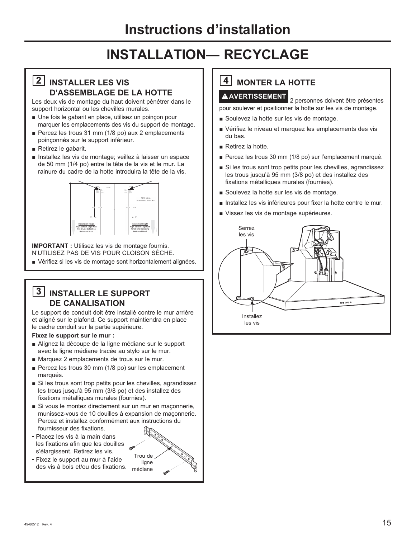#### **2 INSTALLER LES VIS D'ASSEMBLAGE DE LA HOTTE**

Les deux vis de montage du haut doivent pénétrer dans le support horizontal ou les chevilles murales.

- Une fois le gabarit en place, utilisez un poincon pour marquer les emplacements des vis du support de montage.
- Percez les trous 31 mm  $(1/8$  po) aux 2 emplacements poinconnés sur le support inférieur.
- $\blacksquare$  Retirez le gabarit.
- Installez les vis de montage; veillez à laisser un espace de 50 mm (1/4 po) entre la tête de la vis et le mur. La rainure du cadre de la hotte introduira la tête de la vis.



**IMPORTANT :** Utilisez les vis de montage fournis. N'UTILISEZ PAS DE VIS POUR CLOISON SÈCHE.

Vérifiez si les vis de montage sont horizontalement alignées.

#### **3 INSTALLER LE SUPPORT DE CANALISATION**

Le support de conduit doit être installé contre le mur arrière et aligné sur le plafond. Ce support maintiendra en place le cache conduit sur la partie supérieure.

**Fixez le support sur le mur :**

- Alignez la découpe de la ligne médiane sur le support avec la ligne médiane tracée au stylo sur le mur.
- Marquez 2 emplacements de trous sur le mur.
- Percez les trous 30 mm  $(1/8$  po) sur les emplacement marqués.
- $\blacksquare$  Si les trous sont trop petits pour les chevilles, agrandissez les trous jusqu'à 95 mm (3/8 po) et des installez des fixations métalliques murales (fournies).
- Si vous le montez directement sur un mur en maçonnerie, munissez-vous de 10 douilles à expansion de maçonnerie. Percez et installez conformément aux instructions du fournisseur des fixations.
- Placez les vis à la main dans les fixations afin que les douilles s'élargissent. Retirez les vis.
- Fixez le support au mur à l'aide des vis à bois et/ou des fixations.



## **4** MONTER LA HOTTE

**AVERTISSEMENT** 2 personnes doivent être présentes pour soulever et positionner la hotte sur les vis de montage.

- Soulevez la hotte sur les vis de montage.
- Vérifiez le niveau et marquez les emplacements des vis du bas.
- $\blacksquare$  Retirez la hotte.
- Percez les trous 30 mm (1/8 po) sur l'emplacement marqué.
- Si les trous sont trop petits pour les chevilles, agrandissez les trous jusqu'à 95 mm (3/8 po) et des installez des fixations métalliques murales (fournies).
- Soulevez la hotte sur les vis de montage.
- Installez les vis inférieures pour fixer la hotte contre le mur.
- Vissez les vis de montage supérieures.

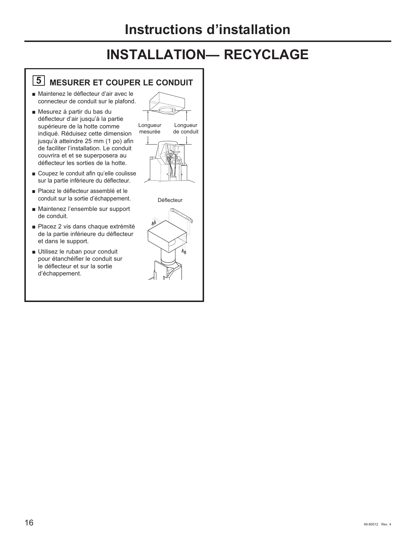## **5 MESURER ET COUPER LE CONDUIT**

- Maintenez le déflecteur d'air avec le connecteur de conduit sur le plafond.
- Mesurez à partir du bas du déflecteur d'air jusqu'à la partie supérieure de la hotte comme indiqué. Réduisez cette dimension jusqu'à atteindre 25 mm (1 po) afin de faciliter l'installation. Le conduit couvrira et et se superposera au déflecteur les sorties de la hotte.
- Coupez le conduit afin qu'elle coulisse sur la partie inférieure du déflecteur.
- Placez le déflecteur assemblé et le conduit sur la sortie d'échappement.
- Maintenez l'ensemble sur support de conduit.
- Placez 2 vis dans chaque extrémité de la partie inférieure du déflecteur et dans le support.
- Utilisez le ruban pour conduit pour étanchéifier le conduit sur le déflecteur et sur la sortie d'échappement.





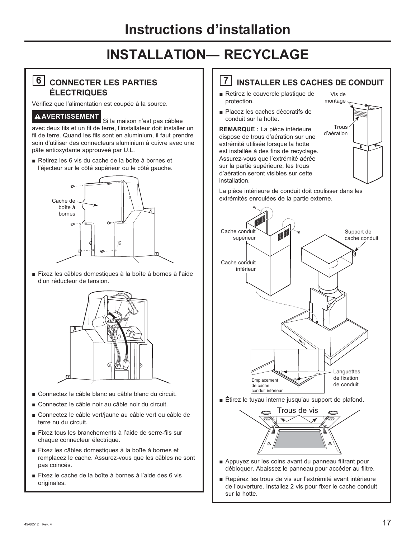#### **6 CONNECTER LES PARTIES ÉLECTRIQUES**

Vérifiez que l'alimentation est coupée à la source.

#### **A AVERTISSEMENT** Si la maison n'est pas câblee

avec deux fils et un fil de terre, l'installateur doit installer un fil de terre. Quand les fils sont en aluminium, il faut prendre soin d'utiliser des connecteurs aluminium à cuivre avec une pâte antioxydante approuveé par U.L.

Retirez les 6 vis du cache de la boîte à bornes et l'éjecteur sur le côté supérieur ou le côté gauche.



E Fixez les câbles domestiques à la boîte à bornes à l'aide d'un réducteur de tension.



- Connectez le câble blanc au câble blanc du circuit.
- Connectez le câble noir au câble noir du circuit.
- Gonnectez le câble vert/jaune au câble vert ou câble de terre nu du circuit.
- E Fixez tous les branchements à l'aide de serre-fils sur chaque connecteur électrique.
- E Fixez les câbles domestiques à la boîte à bornes et remplacez le cache. Assurez-vous que les câbles ne sont pas coincés.
- E Fixez le cache de la boîte à bornes à l'aide des 6 vis originales.

#### **7 INSTALLER LES CACHES DE CONDUIT**

- Retirez le couvercle plastique de protection.
- Placez les caches décoratifs de conduit sur la hotte.

**REMARQUE :** La pièce intérieure dispose de trous d'aération sur une extrémité utilisée lorsque la hotte est installée à des fins de recyclage. Assurez-vous que l'extrémité aérée sur la partie supérieure, les trous d'aération seront visibles sur cette installation.



La pièce intérieure de conduit doit coulisser dans les extrémités enroulées de la partie externe.





- $\blacksquare$  Appuyez sur les coins avant du panneau filtrant pour débloquer. Abaissez le panneau pour accéder au filtre.
- Repérez les trous de vis sur l'extrémité avant intérieure de l'ouverture. Installez 2 vis pour fixer le cache conduit sur la hotte.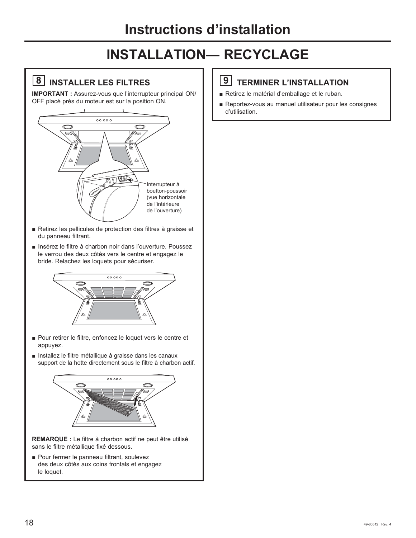## **8 INSTALLER LES FILTRES**

**IMPORTANT :** Assurez-vous que l'interrupteur principal ON/ OFF placé près du moteur est sur la position ON.



- Retirez les pellicules de protection des filtres à graisse et du panneau filtrant.
- Insérez le filtre à charbon noir dans l'ouverture. Poussez le verrou des deux côtés vers le centre et engagez le bride. Relachez les loquets pour sécuriser.



- Pour retirer le filtre, enfoncez le loquet vers le centre et appuyez.
- **Installez le filtre métallique à graisse dans les canaux** support de la hotte directement sous le filtre à charbon actif.



**REMARQUE :** Le filtre à charbon actif ne peut être utilisé sans le filtre métallique fixé dessous.

**• Pour fermer le panneau filtrant, soulevez** des deux côtés aux coins frontals et engagez le loquet.

#### **9 TERMINER L'INSTALLATION**

- Retirez le matérial d'emballage et le ruban.
- Reportez-vous au manuel utilisateur pour les consignes d'utilisation.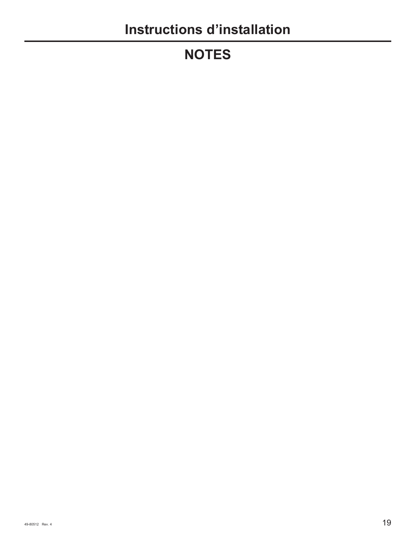# **NOTES**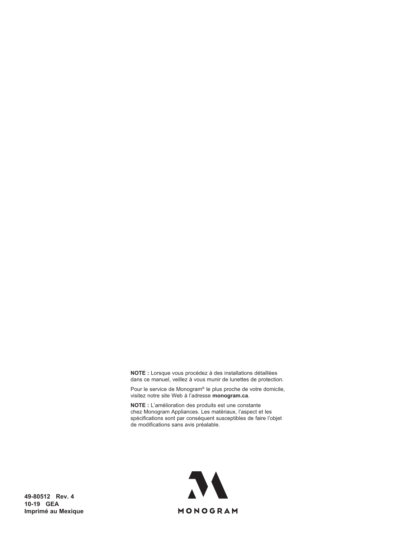**NOTE :** Lorsque vous procédez à des installations détaillées dans ce manuel, veillez à vous munir de lunettes de protection.

Pour le service de Monogram® le plus proche de votre domicile, visitez notre site Web à l'adresse monogram.ca.

**NOTE** : L'amélioration des produits est une constante chez Monogram Appliances. Les matériaux, l'aspect et les spécifications sont par conséquent susceptibles de faire l'objet de modifications sans avis préalable.



**49-80512 Rev. 4 10-19 GEA Imprimé au Mexique**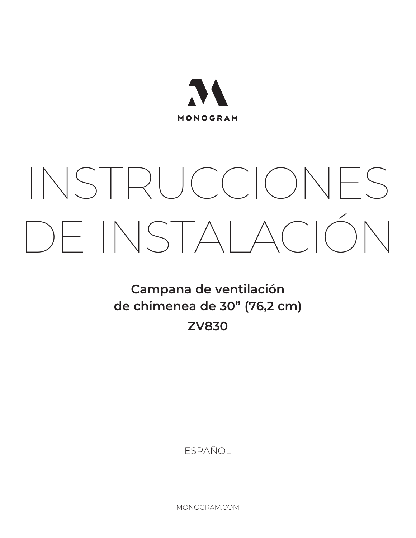

# INSTRUCCIONES DE INSTALACIÓN

**Campana de ventilación de chimenea de 30" (76,2 cm) ZV830**

ESPAÑOL

MONOGRAM.COM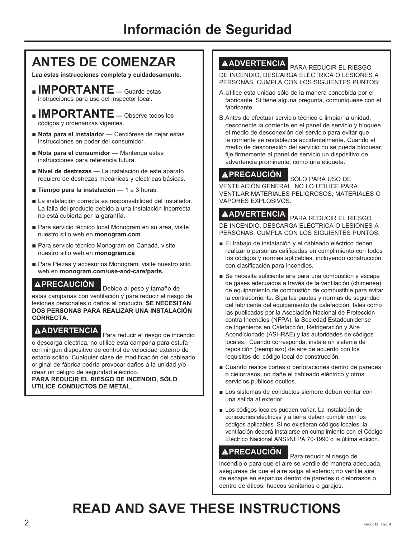## **ANTES DE COMENZAR**

**Lea estas instrucciones completa y cuidadosamente.**

- **LIMPORTANTE** Guarde estas instrucciones para uso del inspector local.
- **IMPORTANTE** Observe todos los códigos y ordenanzas vigentes.
- Nota para el instalador Cerciórese de dejar estas instrucciones en poder del consumidor.
- **Nota para el consumidor** Mantenga estas instrucciones para referencia futura.
- **Nivel de destrezas** La instalación de este aparato requiere de destrezas mecánicas y eléctricas básicas.
- Tiempo para la instalación 1 a 3 horas.
- La instalación correcta es responsabilidad del instalador. La falla del producto debido a una instalación incorrecta no está cubierta por la garantía.
- Para servicio técnico local Monogram en su área, visite nuestro sitio web en **monogram.com**.
- Para servicio técnico Monogram en Canadá, visite nuestro sitio web en **monogram.ca**
- Para Piezas y accesorios Monogram, visite nuestro sitio web en **monogram.com/use-and-care/parts.**

## **PRECAUCIÓN** Debido al peso y tamaño de

estas campanas con ventilación y para reducir el riesgo de lesiones personales o daños al producto, **SE NECESITAN DOS PERSONAS PARA REALIZAR UNA INSTALACIÓN CORRECTA.**

**ADVERTENCIA** Para reducir el riesgo de incendio o descarga eléctrica, no utilice esta campana para estufa con ningún dispositivo de control de velocidad externo de estado sólido. Cualquier clase de modificación del cableado original de fábrica podría provocar daños a la unidad y/o crear un peligro de seguridad eléctrico.

**PARA REDUCIR EL RIESGO DE INCENDIO, SÓLO UTILICE CONDUCTOS DE METAL.** 

**ADVERTENCIA** PARA REDUCIR EL RIESGO DE INCENDIO, DESCARGA ELÉCTRICA O LESIONES A PERSONAS, CUMPLA CON LOS SIGUIENTES PUNTOS:

- A. Utilice esta unidad sólo de la manera concebida por el fabricante. Si tiene alguna pregunta, comuníquese con el fabricante.
- B. Antes de efectuar servicio técnico o limpiar la unidad, desconecte la corriente en el panel de servicio y bloquee el medio de desconexión del servicio para evitar que la corriente se restablezca accidentalmente. Cuando el medio de desconexión del servicio no se pueda bloquear, fije firmemente al panel de servicio un dispositivo de advertencia prominente, como una etiqueta.

## **A PRECAUCIÓN S**ÓLO PARA USO DE

VENTILACIÓN GENERAL. NO LO UTILICE PARA VENTILAR MATERIALES PELIGROSOS, MATERIALES O VAPORES EXPLOSIVOS.

**ADVERTENCIA** PARA REDUCIR EL RIESGO DE INCENDIO, DESCARGA ELÉCTRICA O LESIONES A PERSONAS, CUMPLA CON LOS SIGUIENTES PUNTOS:

- El trabajo de instalación y el cableado eléctrico deben realizarlo personas calificadas en cumplimiento con todos los códigos y normas aplicables, incluyendo construcción con clasificación para incendios.
- $\blacksquare$  Se necesita suficiente aire para una combustión y escape de gases adecuados a través de la ventilación (chimenea) de equipamiento de combustión de combustible para evitar la contracorriente. Siga las pautas y normas de seguridad del fabricante del equipamiento de calefacción, tales como las publicadas por la Asociación Nacional de Protección contra Incendios (NFPA), la Sociedad Estadounidense de Ingenieros en Calefacción, Refrigeración y Aire Acondicionado (ASHRAE) y las autoridades de códigos locales. Cuando corresponda, instale un sistema de reposición (reemplazo) de aire de acuerdo con los requisitos del código local de construcción.
- Cuando realice cortes o perforaciones dentro de paredes o cielorrasos, no dañe el cableado eléctrico y otros servicios públicos ocultos.
- Los sistemas de conductos siempre deben contar con una salida al exterior.
- Los códigos locales pueden variar. La instalación de conexiones eléctricas y a tierra deben cumplir con los códigos aplicables. Si no existieran códigos locales, la ventilación deberá instalarse en cumplimiento con el Código Eléctrico Nacional ANSI/NFPA 70-1990 o la última edición.

## **PRECAUCIÓN** Para reducir el riesgo de

incendio o para que el aire se ventile de manera adecuada, asegúrese de que el aire salga al exterior; no ventile aire de escape en espacios dentro de paredes o cielorrasos o dentro de áticos, huecos sanitarios o garajes.

# **READ AND SAVE THESE INSTRUCTIONS**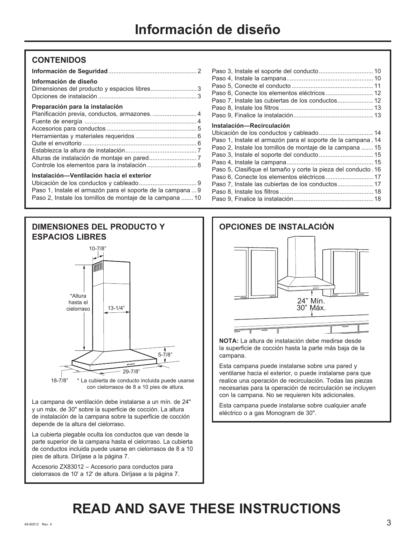#### **CONTENIDOS**

| Información de diseño<br>Dimensiones del producto y espacios libres3            |  |
|---------------------------------------------------------------------------------|--|
| Preparación para la instalación<br>Planificación previa, conductos, armazones 4 |  |
|                                                                                 |  |
| Controle los elementos para la instalación  8                                   |  |
| Instalación-Ventilación hacia el exterior                                       |  |

| Paso 1, Instale el armazón para el soporte de la campana  9 |  |
|-------------------------------------------------------------|--|
| Paso 2, Instale los tornillos de montaje de la campana  10  |  |



La campana de ventilación debe instalarse a un mín. de 24" y un máx. de 30" sobre la superficie de cocción. La altura de instalación de la campana sobre la superficie de cocción depende de la altura del cielorraso.

La cubierta plegable oculta los conductos que van desde la parte superior de la campana hasta el cielorraso. La cubierta de conductos incluida puede usarse en cielorrasos de 8 a 10 pies de altura. Diríjase a la página 7.

Accesorio ZX83012 – Accesorio para conductos para cielorrasos de 10' a 12' de altura. Diríjase a la página 7.

| Paso 6, Conecte los elementos eléctricos 12                   |  |
|---------------------------------------------------------------|--|
| Paso 7, Instale las cubiertas de los conductos 12             |  |
|                                                               |  |
|                                                               |  |
|                                                               |  |
| Instalación—Recirculación                                     |  |
| Ubicación de los conductos y cableado 14                      |  |
| Paso 1, Instale el armazón para el soporte de la campana . 14 |  |
| Paso 2, Instale los tornillos de montaje de la campana  15    |  |
| Paso 3, Instale el soporte del conducto 15                    |  |
|                                                               |  |

Paso 5, Clasifique el tamaño y corte la pieza del conducto . 16 Paso 6, Conecte los elementos eléctricos ............................ 17 Paso 7, Instale las cubiertas de los conductos ..................... 17 Paso 8, Instale los filtros ....................................................... 18 Paso 9, Finalice la instalación ............................................... 18

| <b>OPCIONES DE INSTALACIÓN</b> |                      |
|--------------------------------|----------------------|
|                                |                      |
|                                |                      |
|                                |                      |
|                                |                      |
|                                |                      |
|                                | <b>00000</b>         |
|                                | 24" Mín.<br>30" Máx. |
|                                |                      |
|                                |                      |
|                                |                      |

**NOTA:** La altura de instalación debe medirse desde la superficie de cocción hasta la parte más baja de la campana.

Esta campana puede instalarse sobre una pared y ventilarse hacia el exterior, o puede instalarse para que realice una operación de recirculación. Todas las piezas necesarias para la operación de recirculación se incluyen con la campana. No se requieren kits adicionales.

Esta campana puede instalarse sobre cualquier anafe eléctrico o a gas Monogram de 30".

# **READ AND SAVE THESE INSTRUCTIONS**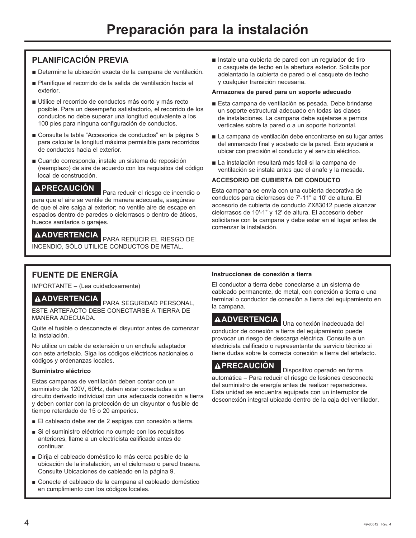#### **PLANIFICACIÓN PREVIA**

- Determine la ubicación exacta de la campana de ventilación.
- Planifique el recorrido de la salida de ventilación hacia el exterior.
- Utilice el recorrido de conductos más corto y más recto posible. Para un desempeño satisfactorio, el recorrido de los conductos no debe superar una longitud equivalente a los 100 pies para ninguna configuración de conductos.
- Consulte la tabla "Accesorios de conductos" en la página 5 para calcular la longitud máxima permisible para recorridos de conductos hacia el exterior.
- Cuando corresponda, instale un sistema de reposición (reemplazo) de aire de acuerdo con los requisitos del código local de construcción.

**PRECAUCIÓN** Para reducir el riesgo de incendio o para que el aire se ventile de manera adecuada, asegúrese de que el aire salga al exterior; no ventile aire de escape en espacios dentro de paredes o cielorrasos o dentro de áticos, huecos sanitarios o garajes.

**ADVERTENCIA** PARA REDUCIR EL RIESGO DE

INCENDIO, SÓLO UTILICE CONDUCTOS DE METAL.

**n** Instale una cubierta de pared con un regulador de tiro o casquete de techo en la abertura exterior. Solicite por adelantado la cubierta de pared o el casquete de techo y cualquier transición necesaria.

#### **Armazones de pared para un soporte adecuado**

- Esta campana de ventilación es pesada. Debe brindarse un soporte estructural adecuado en todas las clases de instalaciones. La campana debe sujetarse a pernos verticales sobre la pared o a un soporte horizontal.
- La campana de ventilación debe encontrarse en su lugar antes del enmarcado final y acabado de la pared. Esto ayudará a ubicar con precisión el conducto y el servicio eléctrico.
- La instalación resultará más fácil si la campana de ventilación se instala antes que el anafe y la mesada.

#### **ACCESORIO DE CUBIERTA DE CONDUCTO**

Esta campana se envía con una cubierta decorativa de conductos para cielorrasos de 7'-11" a 10' de altura. El accesorio de cubierta de conducto ZX83012 puede alcanzar cielorrasos de 10'-1" y 12' de altura. El accesorio deber solicitarse con la campana y debe estar en el lugar antes de comenzar la instalación.

#### **FUENTE DE ENERGÍA**

IMPORTANTE – (Lea cuidadosamente)

**ADVERTENCIA** PARA SEGURIDAD PERSONAL, ESTE ARTEFACTO DEBE CONECTARSE A TIERRA DE MANERA ADECUADA.

Quite el fusible o desconecte el disyuntor antes de comenzar la instalación.

No utilice un cable de extensión o un enchufe adaptador con este artefacto. Siga los códigos eléctricos nacionales o códigos y ordenanzas locales.

#### **Suministro eléctrico**

Estas campanas de ventilación deben contar con un suministro de 120V, 60Hz, deben estar conectadas a un circuito derivado individual con una adecuada conexión a tierra y deben contar con la protección de un disyuntor o fusible de tiempo retardado de 15 o 20 amperios.

- El cableado debe ser de 2 espigas con conexión a tierra.
- Si el suministro eléctrico no cumple con los requisitos anteriores, llame a un electricista calificado antes de continuar.
- Dirija el cableado doméstico lo más cerca posible de la ubicación de la instalación, en el cielorraso o pared trasera. Consulte Ubicaciones de cableado en la página 9.
- Conecte el cableado de la campana al cableado doméstico en cumplimiento con los códigos locales.

#### **Instrucciones de conexión a tierra**

El conductor a tierra debe conectarse a un sistema de cableado permanente, de metal, con conexión a tierra o una terminal o conductor de conexión a tierra del equipamiento en la campana.

**A ADVERTENCIA**<br>Una conexión inadecuada del conductor de conexión a tierra del equipamiento puede provocar un riesgo de descarga eléctrica. Consulte a un electricista calificado o representante de servicio técnico si tiene dudas sobre la correcta conexión a tierra del artefacto.

**PRECAUCIÓN** Dispositivo operado en forma automática – Para reducir el riesgo de lesiones desconecte del suministro de energía antes de realizar reparaciones. Esta unidad se encuentra equipada con un interruptor de desconexión integral ubicado dentro de la caja del ventilador.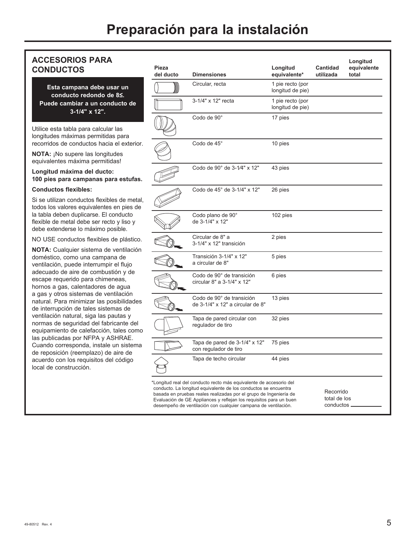#### **ACCESORIOS PARA CONDUCTOS**

**Esta campana debe usar un**  conducto redondo de 85. **Puede cambiar a un conducto de 3-1/4" x 12".**

Utilice esta tabla para calcular las longitudes máximas permitidas para recorridos de conductos hacia el exterior.

**NOTA:** ¡No supere las longitudes equivalentes máxima permitidas!

#### **Longitud máxima del ducto: 100 pies para campanas para estufas.**

#### **Conductos flexibles:**

Si se utilizan conductos flexibles de metal, todos los valores equivalentes en pies de la tabla deben duplicarse. El conducto flexible de metal debe ser recto y liso y debe extenderse lo máximo posible.

NO USE conductos flexibles de plástico.

**NOTA:** Cualquier sistema de ventilación doméstico, como una campana de ventilación, puede interrumpir el flujo adecuado de aire de combustión y de escape requerido para chimeneas, hornos a gas, calentadores de agua a gas y otros sistemas de ventilación natural. Para minimizar las posibilidades de interrupción de tales sistemas de ventilación natural, siga las pautas y normas de seguridad del fabricante del equipamiento de calefacción, tales como las publicadas por NFPA y ASHRAE. Cuando corresponda, instale un sistema de reposición (reemplazo) de aire de acuerdo con los requisitos del código local de construcción.

| Pieza<br>del ducto | <b>Dimensiones</b>                                                                                                                                                                                                                                                                                                                                 | Longitud<br>equivalente*             | <b>Cantidad</b><br>utilizada            | Longitud<br>equivalente<br>total |
|--------------------|----------------------------------------------------------------------------------------------------------------------------------------------------------------------------------------------------------------------------------------------------------------------------------------------------------------------------------------------------|--------------------------------------|-----------------------------------------|----------------------------------|
|                    | Circular, recta                                                                                                                                                                                                                                                                                                                                    | 1 pie recto (por<br>longitud de pie) |                                         |                                  |
|                    | 3-1/4" x 12" recta                                                                                                                                                                                                                                                                                                                                 | 1 pie recto (por<br>longitud de pie) |                                         |                                  |
|                    | Codo de 90°                                                                                                                                                                                                                                                                                                                                        | 17 pies                              |                                         |                                  |
|                    | Codo de 45°                                                                                                                                                                                                                                                                                                                                        | 10 pies                              |                                         |                                  |
|                    | Codo de 90° de 3-1⁄4" x 12"                                                                                                                                                                                                                                                                                                                        | 43 pies                              |                                         |                                  |
|                    | Codo de 45° de 3-1/4" x 12"                                                                                                                                                                                                                                                                                                                        | 26 pies                              |                                         |                                  |
|                    | Codo plano de 90°<br>de 3-1/4" x 12"                                                                                                                                                                                                                                                                                                               | 102 pies                             |                                         |                                  |
|                    | Circular de 8" a<br>3-1/4" x 12" transición                                                                                                                                                                                                                                                                                                        | 2 pies                               |                                         |                                  |
|                    | Transición 3-1/4" x 12"<br>a circular de 8"                                                                                                                                                                                                                                                                                                        | 5 pies                               |                                         |                                  |
|                    | Codo de 90° de transición<br>circular 8" a 3-1/4" x 12"                                                                                                                                                                                                                                                                                            | 6 pies                               |                                         |                                  |
|                    | Codo de 90° de transición<br>de 3-1/4" x 12" a circular de 8"                                                                                                                                                                                                                                                                                      | 13 pies                              |                                         |                                  |
|                    | Tapa de pared circular con<br>regulador de tiro                                                                                                                                                                                                                                                                                                    | 32 pies                              |                                         |                                  |
|                    | Tapa de pared de 3-1/4" x 12"<br>con regulador de tiro                                                                                                                                                                                                                                                                                             | 75 pies                              |                                         |                                  |
|                    | Tapa de techo circular                                                                                                                                                                                                                                                                                                                             | 44 pies                              |                                         |                                  |
|                    | *Longitud real del conducto recto más equivalente de accesorio del<br>conducto. La longitud equivalente de los conductos se encuentra<br>basada en pruebas reales realizadas por el grupo de Ingeniería de<br>Evaluación de GE Appliances y reflejan los requisitos para un buen<br>desempeño de ventilación con cualquier campana de ventilación. |                                      | Recorrido<br>total de los<br>conductos. |                                  |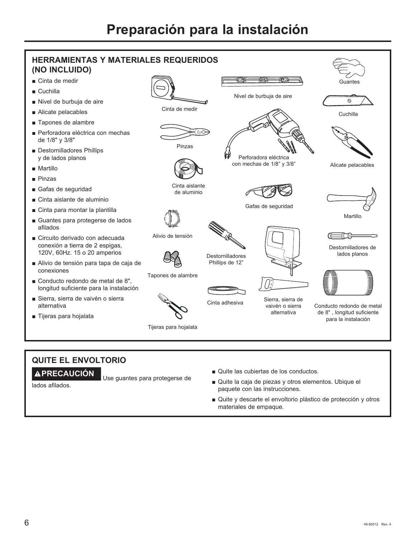

#### **QUITE EL ENVOLTORIO**

**PRECAUCIÓN** Use guantes para protegerse de

lados afilados.

- Quite las cubiertas de los conductos.
- Quite la caja de piezas y otros elementos. Ubique el paquete con las instrucciones.
- Quite y descarte el envoltorio plástico de protección y otros materiales de empaque.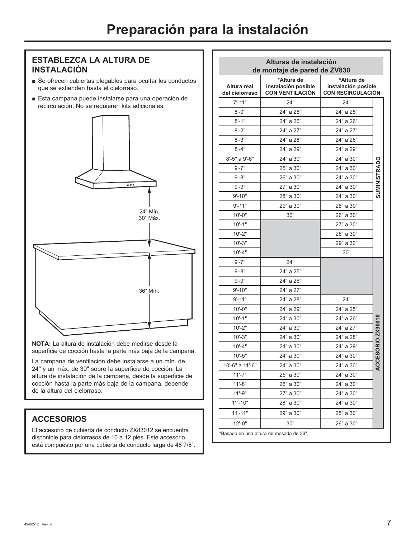#### **ESTABLEZCA LA ALTURA DE INSTALACIÓN**

- $\blacksquare$  Se ofrecen cubiertas plegables para ocultar los conductos que se extienden hasta el cielorraso.
- Esta campana puede instalarse para una operación de recirculación. No se requieren kits adicionales.



**NOTA:** La altura de instalación debe medirse desde la superficie de cocción hasta la parte más baja de la campana.

La campana de ventilación debe instalarse a un mín. de 24" y un máx. de 30" sobre la superficie de cocción. La altura de instalación de la campana, desde la superficie de cocción hasta la parte más baja de la campana, depende de la altura del cielorraso.

#### **ACCESORIOS**

El accesorio de cubierta de conducto ZX83012 se encuentra disponible para cielorrasos de 10 a 12 pies. Este accesorio está compuesto por una cubierta de conducto larga de 48 7/8".

| Alturas de instalación<br>de montaje de pared de ZV830 |                                                             |                                                               |                |  |
|--------------------------------------------------------|-------------------------------------------------------------|---------------------------------------------------------------|----------------|--|
| Altura real<br>del cielorraso                          | *Altura de<br>instalación posible<br><b>CON VENTILACION</b> | *Altura de<br>instalación posible<br><b>CON RECIRCULACIÓN</b> |                |  |
| $7' - 11''$                                            | 24"                                                         | 24"                                                           |                |  |
| $8 - 0"$                                               | 24" a 25"                                                   | 24" a 25"                                                     |                |  |
| $8' - 1"$                                              | 24" a 26"                                                   | 24" a 26"                                                     |                |  |
| $8' - 2"$                                              | 24" a 27"                                                   | 24" a 27"                                                     |                |  |
| $8' - 3"$                                              | 24" a 28"                                                   | 24" a 28"                                                     |                |  |
| $8' - 4"$                                              | 24" a 29"                                                   | 24" a 29"                                                     |                |  |
| 8'-5" a 9'-6"                                          | 24" a 30"                                                   | 24" a 30"                                                     |                |  |
| $9' - 7"$                                              | 25" a 30"                                                   | 24" a 30"                                                     | SUMINISTRADO   |  |
| $9' - 8"$                                              | 26" a 30"                                                   | 24" a 30"                                                     |                |  |
| $9' - 9''$                                             | 27" a 30"                                                   | 24" a 30"                                                     |                |  |
| $9' - 10"$                                             | 28" a 30"                                                   | 24" a 30"                                                     |                |  |
| $9' - 11"$                                             | 29" a 30"                                                   | 25" a 30"                                                     |                |  |
| $10 - 0$ "                                             | 30"                                                         | 26" a 30"                                                     |                |  |
| $10 - 1"$                                              |                                                             | 27" a 30"                                                     |                |  |
| $10 - 2"$                                              |                                                             | 28" a 30"                                                     |                |  |
| $10' - 3"$                                             |                                                             | 29" a 30"                                                     |                |  |
| $10' - 4"$                                             |                                                             | 30"                                                           |                |  |
| $9' - 7"$                                              | 24"                                                         |                                                               |                |  |
| $9' - 8"$                                              | 24" a 25"                                                   |                                                               |                |  |
| $9' - 9''$                                             | 24" a 26"                                                   |                                                               |                |  |
| $9' - 10"$                                             | 24" a 27"                                                   |                                                               |                |  |
| $9' - 11"$                                             | 24" a 28"                                                   | 24"                                                           |                |  |
| $10 - 0$ "                                             | 24" a 29"                                                   | 24" a 25"                                                     |                |  |
| $10 - 1"$                                              | 24" a 30"                                                   | 24" a 26"                                                     |                |  |
| $10' - 2"$                                             | 24" a 30"                                                   | 24" a 27"                                                     | ESORIO ZX90010 |  |
| $10'-3"$                                               | 24" a 30"                                                   | 24" a 28"                                                     |                |  |
| $10' - 4"$                                             | 24" a 30"                                                   | 24" a 29"                                                     |                |  |
| $10' - 5"$                                             | 24" a 30"                                                   | 24" a 30"                                                     |                |  |
| 10'-6" a 11'-6"                                        | 24" a 30"                                                   | 24" a 30"                                                     | ⊽<br>⊅         |  |
| $11 - 7"$                                              | 25" a 30"                                                   | 24" a 30"                                                     |                |  |
| $11 - 8"$                                              | 26" a 30"                                                   | 24" a 30"                                                     |                |  |
| 11'-9"                                                 | 27" a 30"                                                   | 24" a 30"                                                     |                |  |
| $11'-10"$                                              | 28" a 30"                                                   | 24" a 30"                                                     |                |  |
| $11'-11"$                                              | 29" a 30"                                                   | 25" a 30"                                                     |                |  |
| $12 - 0$ "                                             | 30"                                                         | 26" a 30"                                                     |                |  |

\* Basado en una altura de mesada de 36".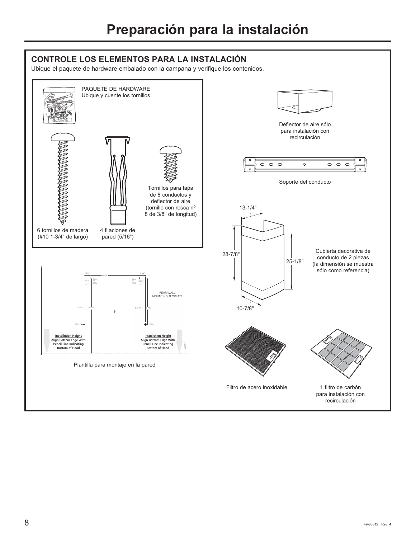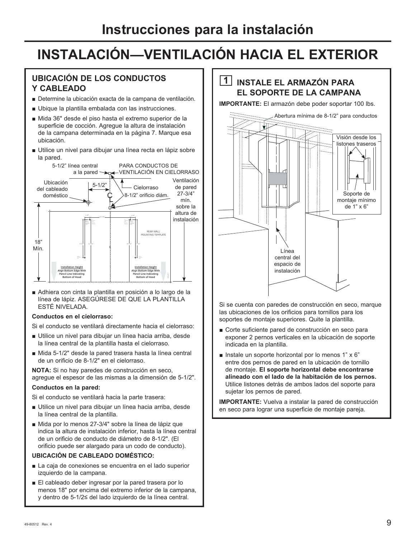#### **UBICACIÓN DE LOS CONDUCTOS Y CABLEADO**

- Determine la ubicación exacta de la campana de ventilación.
- Ubique la plantilla embalada con las instrucciones.
- Mida 36" desde el piso hasta el extremo superior de la superficie de cocción. Agregue la altura de instalación de la campana determinada en la página 7. Marque esa ubicación.
- Utilice un nivel para dibujar una línea recta en lápiz sobre la pared.



Adhiera con cinta la plantilla en posición a lo largo de la línea de lápiz. ASEGÚRESE DE QUE LA PLANTILLA ESTÉ NIVELADA.

#### **Conductos en el cielorraso:**

Si el conducto se ventilará directamente hacia el cielorraso:

- Utilice un nivel para dibujar un línea hacia arriba, desde la línea central de la plantilla hasta el cielorraso.
- Mida 5-1/2" desde la pared trasera hasta la línea central de un orificio de 8-1/2" en el cielorraso.

**NOTA:** Si no hay paredes de construcción en seco, agregue el espesor de las mismas a la dimensión de 5-1/2".

#### **Conductos en la pared:**

Si el conducto se ventilará hacia la parte trasera:

- Utilice un nivel para dibujar un línea hacia arriba, desde la línea central de la plantilla.
- Mida por lo menos 27-3/4" sobre la línea de lápiz que indica la altura de instalación inferior, hasta la línea central de un orificio de conducto de diámetro de 8-1/2". (El orificio puede ser alargado para un codo de conducto).

#### **UBICACIÓN DE CABLEADO DOMÉSTICO:**

- La caja de conexiones se encuentra en el lado superior izquierdo de la campana.
- El cableado deber ingresar por la pared trasera por lo menos 18" por encima del extremo inferior de la campana, y dentro de 5-1/2≤ del lado izquierdo de la línea central.

#### **1 INSTALE EL ARMAZÓN PARA EL SOPORTE DE LA CAMPANA**

**IMPORTANTE:** El armazón debe poder soportar 100 lbs.



Si se cuenta con paredes de construcción en seco, marque las ubicaciones de los orificios para tornillos para los soportes de montaje superiores. Quite la plantilla.

- Corte suficiente pared de construcción en seco para exponer 2 pernos verticales en la ubicación de soporte indicada en la plantilla.
- **Instale un soporte horizontal por lo menos 1" x 6"** entre dos pernos de pared en la ubicación de tornillo de montaje. **El soporte horizontal debe encontrarse alineado con el lado de la habitación de los pernos.** Utilice listones detrás de ambos lados del soporte para sujetar los pernos de pared.

**IMPORTANTE:** Vuelva a instalar la pared de construcción en seco para lograr una superficie de montaje pareja.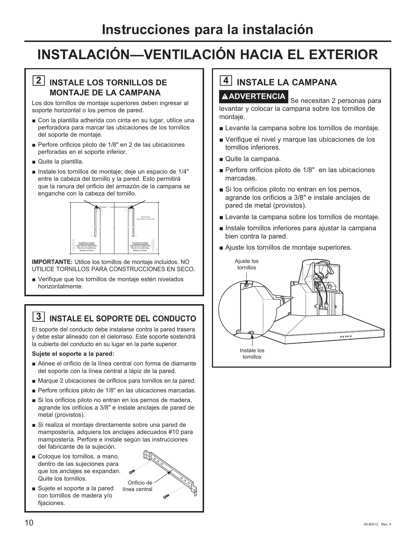#### **2 INSTALE LOS TORNILLOS DE MONTAJE DE LA CAMPANA**

Los dos tornillos de montaje superiores deben ingresar al soporte horizontal o los pernos de pared.

- Con la plantilla adherida con cinta en su lugar, utilice una perforadora para marcar las ubicaciones de los tornillos del soporte de montaje.
- Perfore orificios piloto de 1/8" en 2 de las ubicaciones perforadas en el soporte inferior.
- $\blacksquare$  Quite la plantilla.
- Instale los tornillos de montaje; deje un espacio de 1/4" entre la cabeza del tornillo y la pared. Esto permitirá que la ranura del orificio del armazón de la campana se enganche con la cabeza del tornillo.



**IMPORTANTE:** Utilice los tornillos de montaje incluidos. NO UTILICE TORNILLOS PARA CONSTRUCCIONES EN SECO.

■ Verifique que los tornillos de montaje estén nivelados horizontalmente.

### **3 INSTALE EL SOPORTE DEL CONDUCTO**

El soporte del conducto debe instalarse contra la pared trasera y debe estar alineado con el cielorraso. Este soporte sostendrá la cubierta del conducto en su lugar en la parte superior.

#### **Sujete el soporte a la pared:**

- Alinee el orificio de la línea central con forma de diamante del soporte con la línea central a lápiz de la pared.
- Marque 2 ubicaciones de orificios para tornillos en la pared.
- Perfore orificios piloto de 1/8" en las ubicaciones marcadas.
- Si los orificios piloto no entran en los pernos de madera, agrande los orificios a 3/8" e instale anclajes de pared de metal (provistos).
- Si realiza el montaje directamente sobre una pared de mampostería, adquiera los anclajes adecuados #10 para mampostería. Perfore e instale según las instrucciones del fabricante de la sujeción.
- Goloque los tornillos, a mano, dentro de las sujeciones para que los anclajes se expandan. Quite los tornillos.



Sujete el soporte a la pared con tornillos de madera y/o fijaciones.

# **4 INSTALE LA CAMPANA**

**ADVERTENCIA** Se necesitan 2 personas para levantar y colocar la campana sobre los tornillos de montaje.

- **E** Levante la campana sobre los tornillos de montaje.
- Verifique el nivel y marque las ubicaciones de los tornillos inferiores.
- Quite la campana.
- Perfore orificios piloto de 1/8" en las ubicaciones marcadas.
- Si los orificios piloto no entran en los pernos, agrande los orificios a 3/8" e instale anclajes de pared de metal (provistos).
- **E** Levante la campana sobre los tornillos de montaje.
- $\blacksquare$  Instale tornillos inferiores para ajustar la campana bien contra la pared.
- Ajuste los tornillos de montaje superiores.

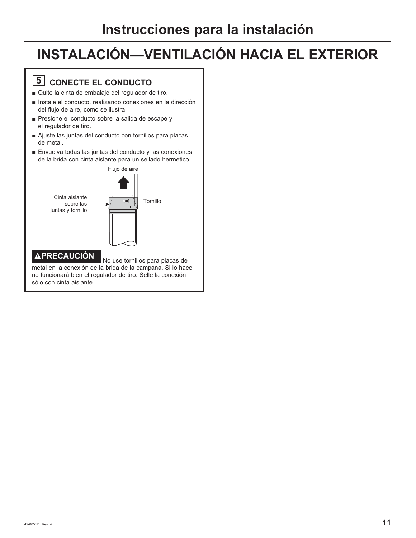## **5** CONECTE EL CONDUCTO

- Quite la cinta de embalaje del regulador de tiro.
- Instale el conducto, realizando conexiones en la dirección del flujo de aire, como se ilustra.
- Presione el conducto sobre la salida de escape y el regulador de tiro.
- Ajuste las juntas del conducto con tornillos para placas de metal.
- $\blacksquare$  Envuelva todas las juntas del conducto y las conexiones de la brida con cinta aislante para un sellado hermético.



metal en la conexión de la brida de la campana. Si lo hace no funcionará bien el regulador de tiro. Selle la conexión sólo con cinta aislante.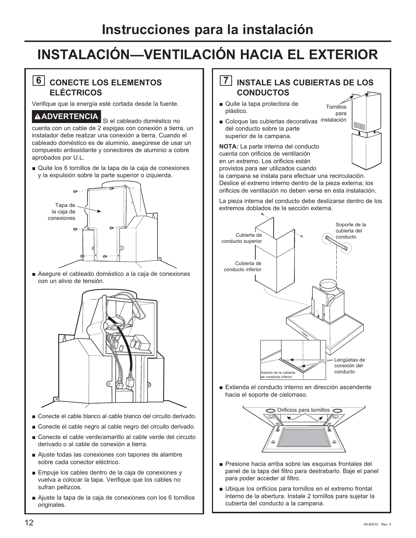#### **6** CONECTE LOS ELEMENTOS **ELÉCTRICOS**

Verifique que la energía esté cortada desde la fuente.

#### **ADVERTENCIA** Si el cableado doméstico no

cuenta con un cable de 2 espigas con conexión a tierra, un instalador debe realizar una conexión a tierra. Cuando el cableado doméstico es de aluminio, asegúrese de usar un compuesto antioxidante y conectores de aluminio a cobre aprobados por U.L.

Quite los 6 tornillos de la tapa de la caja de conexiones y la expulsión sobre la parte superior o izquierda.



Asegure el cableado doméstico a la caja de conexiones con un alivio de tensión.



- Conecte el cable blanco al cable blanco del circuito derivado.
- Conecte el cable negro al cable negro del circuito derivado.
- Conecte el cable verde/amarillo al cable verde del circuito derivado o al cable de conexión a tierra.
- $\blacksquare$  Ajuste todas las conexiones con tapones de alambre sobre cada conector eléctrico.
- Empuje los cables dentro de la caja de conexiones y vuelva a colocar la tapa. Verifique que los cables no sufran pellizcos.
- Ajuste la tapa de la caja de conexiones con los 6 tornillos originales.

#### **7 INSTALE LAS CUBIERTAS DE LOS CONDUCTOS**

**Tornillos** para

- Quite la tapa protectora de plástico.
- Coloque las cubiertas decorativas instalación del conducto sobre la parte superior de la campana.

**NOTA:** La parte interna del conducto cuenta con orificios de ventilación en un extremo. Los orificios están provistos para ser utilizados cuando

la campana se instala para efectuar una recirculación. Deslice el extremo interno dentro de la pieza externa; los orificios de ventilación no deben verse en esta instalación.

La pieza interna del conducto debe deslizarse dentro de los extremos doblados de la sección externa.



Extienda el conducto interno en dirección ascendente hacia el soporte de cielorraso.



- Presione hacia arriba sobre las esquinas frontales del panel de la tapa del filtro para destrabarlo. Baje el panel para poder acceder al filtro.
- Ubique los orificios para tornillos en el extremo frontal interno de la abertura. Instale 2 tornillos para sujetar la cubierta del conducto a la campana.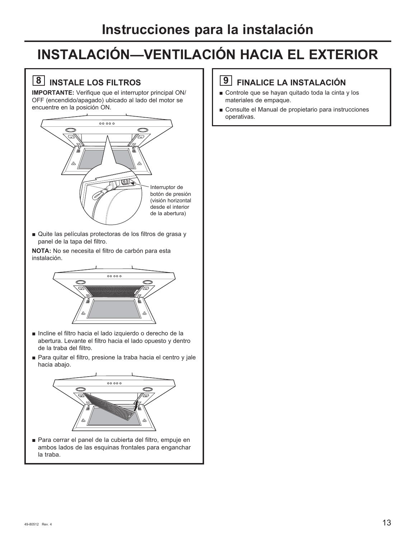## **8 INSTALE LOS FILTROS**

**IMPORTANTE:** Verifique que el interruptor principal ON/ OFF (encendido/apagado) ubicado al lado del motor se encuentre en la posición ON.



Quite las películas protectoras de los filtros de grasa y panel de la tapa del filtro.

**NOTA:** No se necesita el filtro de carbón para esta instalación.



- Incline el filtro hacia el lado izquierdo o derecho de la abertura. Levante el filtro hacia el lado opuesto y dentro de la traba del filtro.
- Para quitar el filtro, presione la traba hacia el centro y jale hacia abajo.



Para cerrar el panel de la cubierta del filtro, empuje en ambos lados de las esquinas frontales para enganchar la traba.

#### **9 FINALICE LA INSTALACIÓN**

- Controle que se hayan quitado toda la cinta y los materiales de empaque.
- Consulte el Manual de propietario para instrucciones operativas.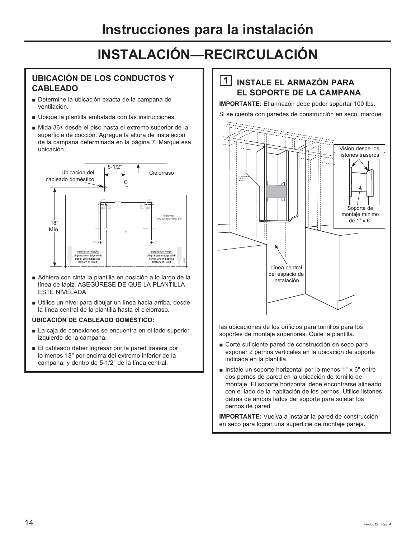#### **UBICACIÓN DE LOS CONDUCTOS Y CABLEADO**

- Determine la ubicación exacta de la campana de ventilación.
- Ubique la plantilla embalada con las instrucciones.
- Mida 36≤ desde el piso hasta el extremo superior de la superficie de cocción. Agregue la altura de instalación de la campana determinada en la página 7. Marque esa ubicación.



- Adhiera con cinta la plantilla en posición a lo largo de la línea de lápiz. ASEGÚRESE DE QUE LA PLANTILLA ESTÉ NIVELADA.
- Utilice un nivel para dibujar un línea hacia arriba, desde la línea central de la plantilla hasta el cielorraso.

#### **UBICACIÓN DE CABLEADO DOMÉSTICO:**

- La caja de conexiones se encuentra en el lado superior izquierdo de la campana.
- El cableado deber ingresar por la pared trasera por lo menos 18" por encima del extremo inferior de la campana, y dentro de 5-1/2" de la línea central.

#### **1 INSTALE EL ARMAZÓN PARA EL SOPORTE DE LA CAMPANA**

**IMPORTANTE:** El armazón debe poder soportar 100 lbs.

Si se cuenta con paredes de construcción en seco, marque



las ubicaciones de los orificios para tornillos para los soportes de montaje superiores. Quite la plantilla.

- Corte suficiente pared de construcción en seco para exponer 2 pernos verticales en la ubicación de soporte indicada en la plantilla.
- **Instale un soporte horizontal por lo menos 1"**  $\times$  6" entre dos pernos de pared en la ubicación de tornillo de montaje. El soporte horizontal debe encontrarse alineado con el lado de la habitación de los pernos. Utilice listones detrás de ambos lados del soporte para sujetar los pernos de pared.

**IMPORTANTE:** Vuelva a instalar la pared de construcción en seco para lograr una superficie de montaje pareja.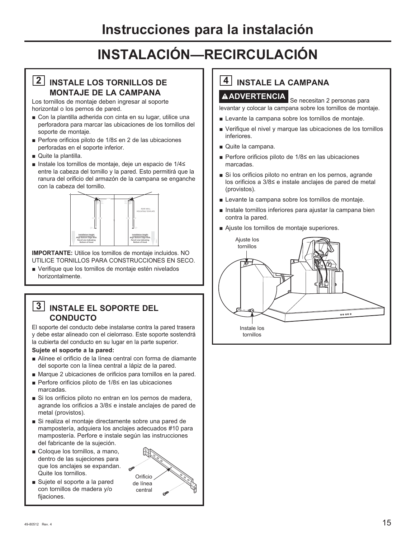#### **2 INSTALE LOS TORNILLOS DE MONTAJE DE LA CAMPANA**

Los tornillos de montaje deben ingresar al soporte horizontal o los pernos de pared.

- Con la plantilla adherida con cinta en su lugar, utilice una perforadora para marcar las ubicaciones de los tornillos del soporte de montaje.
- Perfore orificios piloto de 1/8 $\le$  en 2 de las ubicaciones perforadas en el soporte inferior.
- Quite la plantilla.
- Instale los tornillos de montaje, deje un espacio de 1/4≤ entre la cabeza del tornillo y la pared. Esto permitirá que la ranura del orificio del armazón de la campana se enganche con la cabeza del tornillo.



**IMPORTANTE:** Utilice los tornillos de montaje incluidos. NO UTILICE TORNILLOS PARA CONSTRUCCIONES EN SECO.

■ Verifique que los tornillos de montaje estén nivelados horizontalmente.

#### **3 INSTALE EL SOPORTE DEL CONDUCTO**

El soporte del conducto debe instalarse contra la pared trasera y debe estar alineado con el cielorraso. Este soporte sostendrá la cubierta del conducto en su lugar en la parte superior.

#### **Sujete el soporte a la pared:**

- Alinee el orificio de la línea central con forma de diamante del soporte con la línea central a lápiz de la pared.
- Marque 2 ubicaciones de orificios para tornillos en la pared.
- Perfore orificios piloto de  $1/8 \leq$ en las ubicaciones marcadas.
- Si los orificios piloto no entran en los pernos de madera, agrande los orificios a  $3/8$  e instale anclajes de pared de metal (provistos).
- Si realiza el montaje directamente sobre una pared de mampostería, adquiera los anclajes adecuados #10 para mampostería. Perfore e instale según las instrucciones del fabricante de la sujeción.
- $\blacksquare$  Coloque los tornillos, a mano, dentro de las sujeciones para que los anclajes se expandan. Quite los tornillos.
- Sujete el soporte a la pared con tornillos de madera y/o fijaciones.



## **4 INSTALE LA CAMPANA A ADVERTENCIA** Se necesitan 2 personas para

levantar y colocar la campana sobre los tornillos de montaje.

- **Example 1** Levante la campana sobre los tornillos de montaje.
- Verifique el nivel y marque las ubicaciones de los tornillos inferiores.
- Quite la campana.
- Perfore orificios piloto de  $1/8$  en las ubicaciones marcadas.
- Si los orificios piloto no entran en los pernos, agrande los orificios a 3/8≤ e instale anclajes de pared de metal (provistos).
- Levante la campana sobre los tornillos de montaje.
- Instale tornillos inferiores para ajustar la campana bien contra la pared.
- Ajuste los tornillos de montaje superiores.

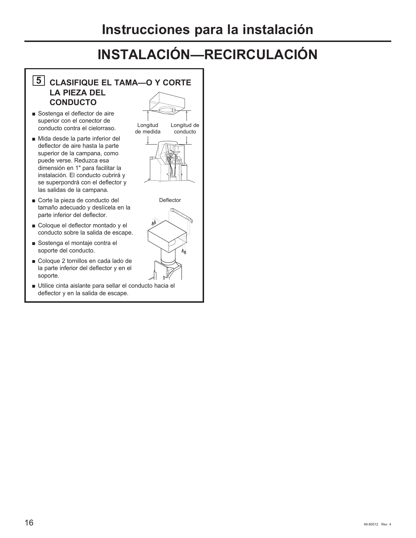#### **5 CLASIFIQUE EL TAMA—O Y CORTE LA PIEZA DEL CONDUCTO**

- Sostenga el deflector de aire superior con el conector de conducto contra el cielorraso.
- Mida desde la parte inferior del deflector de aire hasta la parte superior de la campana, como puede verse. Reduzca esa dimensión en 1" para facilitar la instalación. El conducto cubrirá y se superpondrá con el deflector y las salidas de la campana.
- Gorte la pieza de conducto del tamaño adecuado y deslícela en la parte inferior del deflector.
- Goloque el deflector montado y el conducto sobre la salida de escape.
- Sostenga el montaje contra el soporte del conducto.
- Goloque 2 tornillos en cada lado de la parte inferior del deflector y en el soporte.
- Utilice cinta aislante para sellar el conducto hacia el deflector y en la salida de escape.



**Deflector** 

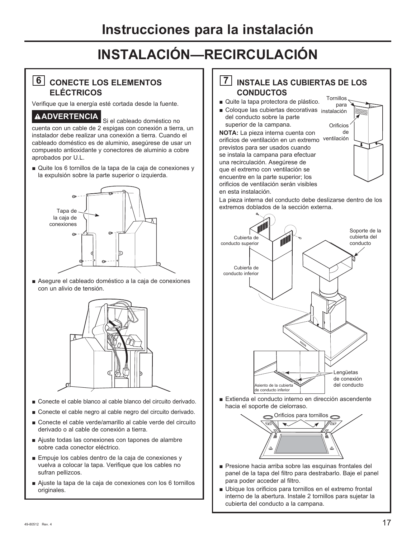#### **6 CONECTE LOS ELEMENTOS ELÉCTRICOS**

Verifique que la energía esté cortada desde la fuente.

### **ADVERTENCIA** Si el cableado doméstico no

cuenta con un cable de 2 espigas con conexión a tierra, un instalador debe realizar una conexión a tierra. Cuando el cableado doméstico es de aluminio, asegúrese de usar un compuesto antioxidante y conectores de aluminio a cobre aprobados por U.L.

Quite los 6 tornillos de la tapa de la caja de conexiones y la expulsión sobre la parte superior o izquierda.



Asegure el cableado doméstico a la caja de conexiones con un alivio de tensión.



- Conecte el cable blanco al cable blanco del circuito derivado.
- Conecte el cable negro al cable negro del circuito derivado.
- Conecte el cable verde/amarillo al cable verde del circuito derivado o al cable de conexión a tierra.
- $\blacksquare$  Ajuste todas las conexiones con tapones de alambre sobre cada conector eléctrico.
- Empuje los cables dentro de la caja de conexiones y vuelva a colocar la tapa. Verifique que los cables no sufran pellizcos.
- Ajuste la tapa de la caja de conexiones con los 6 tornillos originales.

#### **7 INSTALE LAS CUBIERTAS DE LOS CONDUCTOS**

- Quite la tapa protectora de plástico.
- Coloque las cubiertas decorativas instalación del conducto sobre la parte superior de la campana.

**NOTA:** La pieza interna cuenta con orificios de ventilación en un extremo ventilación previstos para ser usados cuando se instala la campana para efectuar una recirculación. Asegúrese de que el extremo con ventilación se encuentre en la parte superior; los orificios de ventilación serán visibles en esta instalación.



La pieza interna del conducto debe deslizarse dentro de los extremos doblados de la sección externa.



Extienda el conducto interno en dirección ascendente hacia el soporte de cielorraso.



- Presione hacia arriba sobre las esquinas frontales del panel de la tapa del filtro para destrabarlo. Baje el panel para poder acceder al filtro.
- Ubique los orificios para tornillos en el extremo frontal interno de la abertura. Instale 2 tornillos para sujetar la cubierta del conducto a la campana.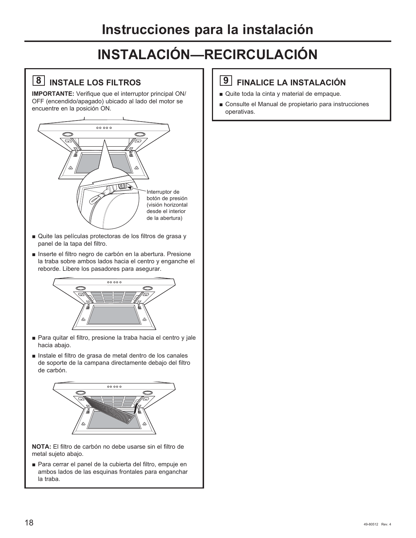## **8 INSTALE LOS FILTROS**

**IMPORTANTE:** Verifique que el interruptor principal ON/ OFF (encendido/apagado) ubicado al lado del motor se encuentre en la posición ON.



- **Quite las películas protectoras de los filtros de grasa y** panel de la tapa del filtro.
- Inserte el filtro negro de carbón en la abertura. Presione la traba sobre ambos lados hacia el centro y enganche el reborde. Libere los pasadores para asegurar.



- Para quitar el filtro, presione la traba hacia el centro y jale hacia abajo.
- Instale el filtro de grasa de metal dentro de los canales de soporte de la campana directamente debajo del filtro de carbón.



**NOTA:** El filtro de carbón no debe usarse sin el filtro de metal sujeto abajo.

Para cerrar el panel de la cubierta del filtro, empuje en ambos lados de las esquinas frontales para enganchar la traba.

#### **9 FINALICE LA INSTALACIÓN**

- Quite toda la cinta y material de empaque.
- Consulte el Manual de propietario para instrucciones operativas.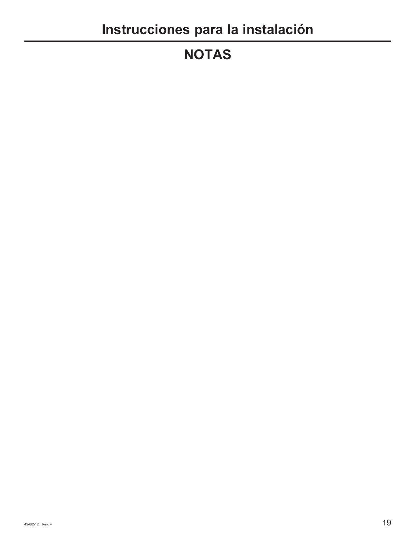# **NOTAS**